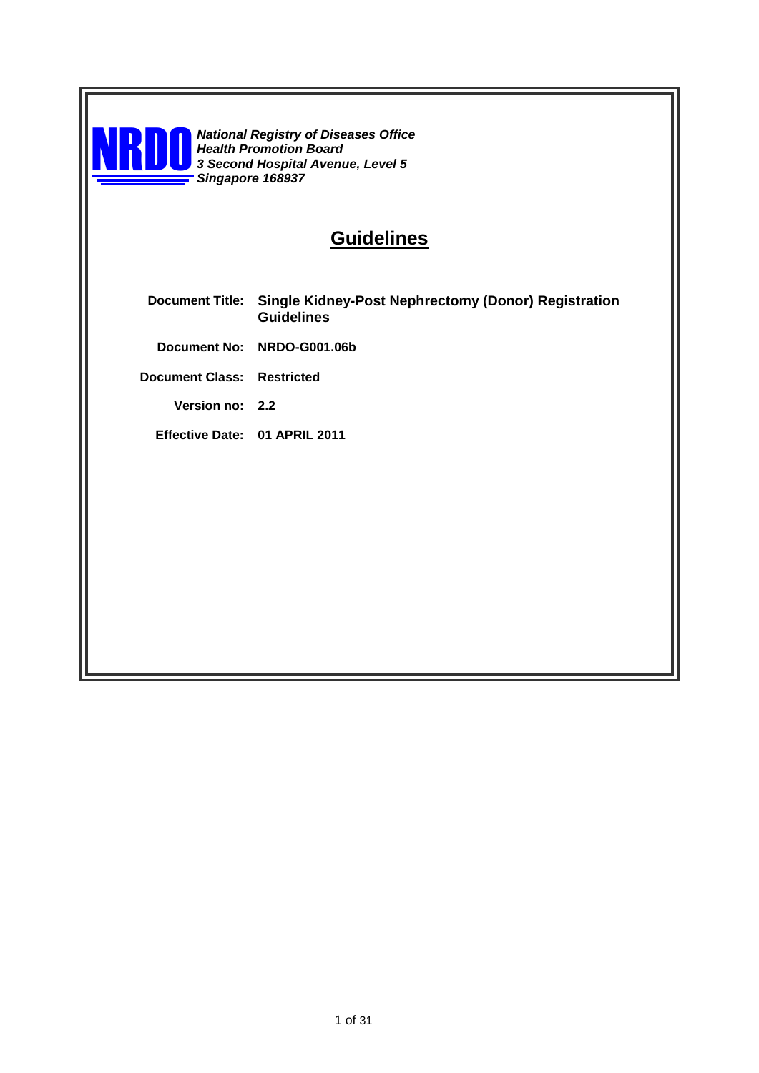

**NROO** *National Registry of Diseases Office*<br>*3 Second Hospital Avenue, Level 5*<br>*Singgangya 168037 Health Promotion Board Singapore 168937*

# **Guidelines**

- **Document Title: Single Kidney-Post Nephrectomy (Donor) Registration Guidelines**
	- **Document No: NRDO-G001.06b**

**Document Class: Restricted**

**Version no: 2.2**

**Effective Date: 01 APRIL 2011**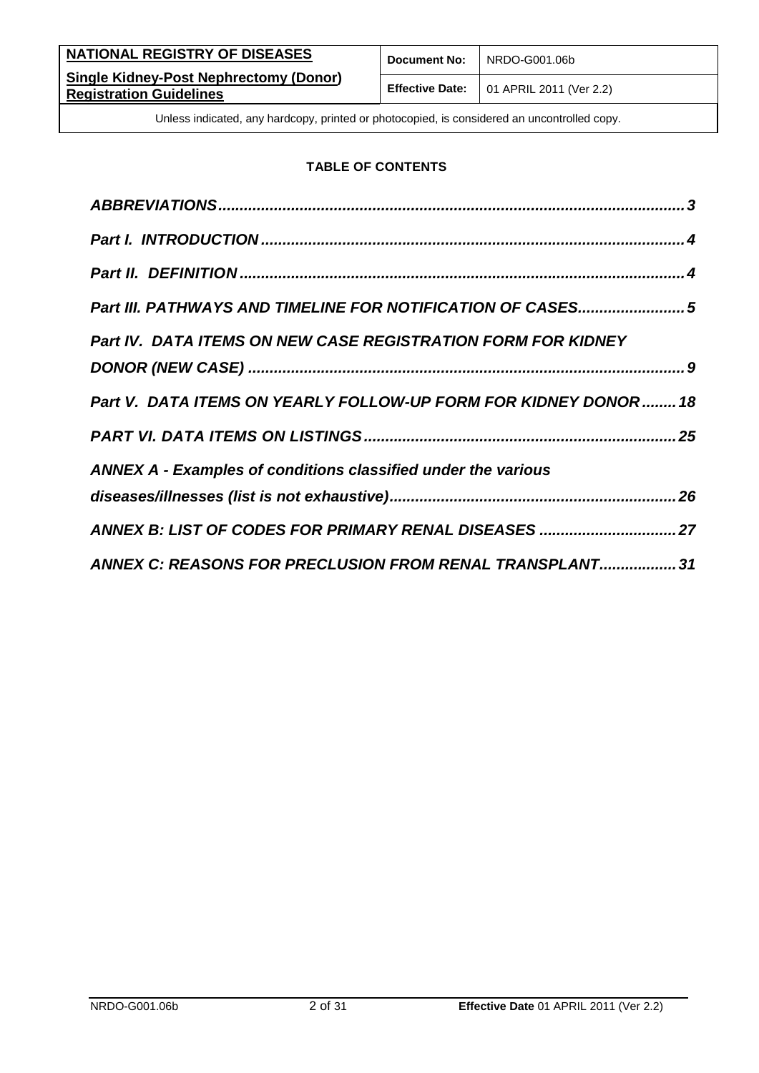| NATIONAL REGISTRY OF DISEASES                                                   | <b>Document No:</b> | l NRDO-G001.06b                                        |
|---------------------------------------------------------------------------------|---------------------|--------------------------------------------------------|
| <b>Single Kidney-Post Nephrectomy (Donor)</b><br><b>Registration Guidelines</b> |                     | <b>Effective Date:</b> $\vert$ 01 APRIL 2011 (Ver 2.2) |

### **TABLE OF CONTENTS**

| Part III. PATHWAYS AND TIMELINE FOR NOTIFICATION OF CASES5          |
|---------------------------------------------------------------------|
| <b>Part IV. DATA ITEMS ON NEW CASE REGISTRATION FORM FOR KIDNEY</b> |
|                                                                     |
| Part V. DATA ITEMS ON YEARLY FOLLOW-UP FORM FOR KIDNEY DONOR  18    |
|                                                                     |
| ANNEX A - Examples of conditions classified under the various       |
|                                                                     |
| ANNEX B: LIST OF CODES FOR PRIMARY RENAL DISEASES  27               |
| ANNEX C: REASONS FOR PRECLUSION FROM RENAL TRANSPLANT 31            |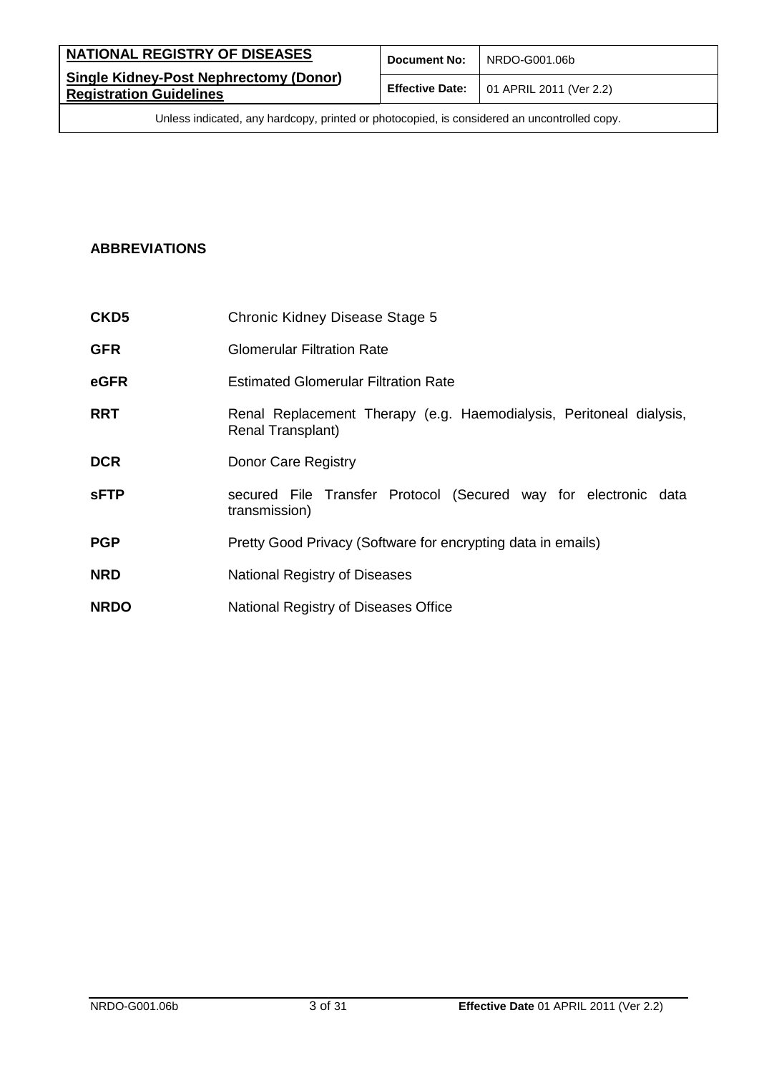| NATIONAL REGISTRY OF DISEASES                                                   | Document No: | NRDO-G001.06b                                          |
|---------------------------------------------------------------------------------|--------------|--------------------------------------------------------|
| <b>Single Kidney-Post Nephrectomy (Donor)</b><br><b>Registration Guidelines</b> |              | <b>Effective Date:</b> $\vert$ 01 APRIL 2011 (Ver 2.2) |

# <span id="page-2-0"></span>**ABBREVIATIONS**

| CKD <sub>5</sub> | Chronic Kidney Disease Stage 5                                                           |
|------------------|------------------------------------------------------------------------------------------|
| <b>GFR</b>       | <b>Glomerular Filtration Rate</b>                                                        |
| eGFR             | <b>Estimated Glomerular Filtration Rate</b>                                              |
| <b>RRT</b>       | Renal Replacement Therapy (e.g. Haemodialysis, Peritoneal dialysis,<br>Renal Transplant) |
| <b>DCR</b>       | Donor Care Registry                                                                      |
| <b>SFTP</b>      | secured File Transfer Protocol (Secured way for electronic data<br>transmission)         |
| <b>PGP</b>       | Pretty Good Privacy (Software for encrypting data in emails)                             |
| <b>NRD</b>       | National Registry of Diseases                                                            |
| <b>NRDO</b>      | National Registry of Diseases Office                                                     |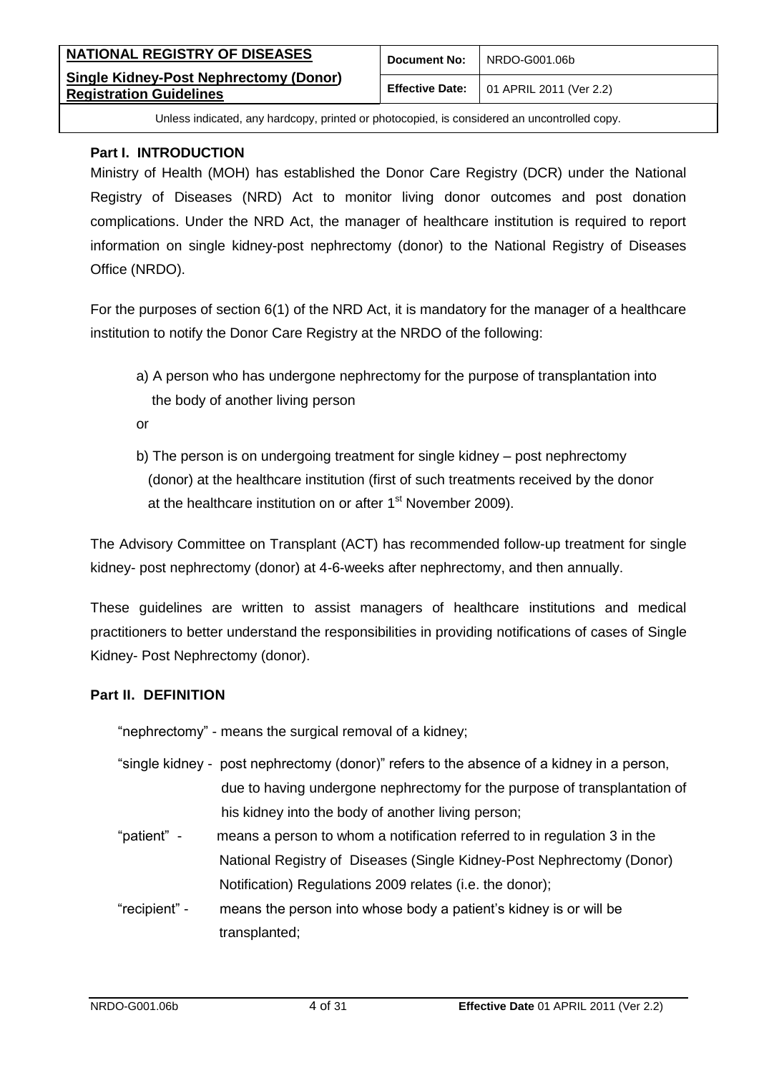| NATIONAL REGISTRY OF DISEASES                                                   | <b>Document No:</b> | l NRDO-G001.06b                                        |
|---------------------------------------------------------------------------------|---------------------|--------------------------------------------------------|
| <b>Single Kidney-Post Nephrectomy (Donor)</b><br><b>Registration Guidelines</b> |                     | <b>Effective Date:</b> $\vert$ 01 APRIL 2011 (Ver 2.2) |

#### <span id="page-3-0"></span>**Part I. INTRODUCTION**

Ministry of Health (MOH) has established the Donor Care Registry (DCR) under the National Registry of Diseases (NRD) Act to monitor living donor outcomes and post donation complications. Under the NRD Act, the manager of healthcare institution is required to report information on single kidney-post nephrectomy (donor) to the National Registry of Diseases Office (NRDO).

For the purposes of section 6(1) of the NRD Act, it is mandatory for the manager of a healthcare institution to notify the Donor Care Registry at the NRDO of the following:

a) A person who has undergone nephrectomy for the purpose of transplantation into the body of another living person

or

b) The person is on undergoing treatment for single kidney – post nephrectomy (donor) at the healthcare institution (first of such treatments received by the donor at the healthcare institution on or after 1<sup>st</sup> November 2009).

The Advisory Committee on Transplant (ACT) has recommended follow-up treatment for single kidney- post nephrectomy (donor) at 4-6-weeks after nephrectomy, and then annually.

These guidelines are written to assist managers of healthcare institutions and medical practitioners to better understand the responsibilities in providing notifications of cases of Single Kidney- Post Nephrectomy (donor).

#### <span id="page-3-1"></span>**Part II. DEFINITION**

"nephrectomy" - means the surgical removal of a kidney;

- "single kidney post nephrectomy (donor)" refers to the absence of a kidney in a person, due to having undergone nephrectomy for the purpose of transplantation of his kidney into the body of another living person;
- "patient" means a person to whom a notification referred to in regulation 3 in the National Registry of Diseases (Single Kidney-Post Nephrectomy (Donor) Notification) Regulations 2009 relates (i.e. the donor);
- "recipient" means the person into whose body a patient's kidney is or will be transplanted;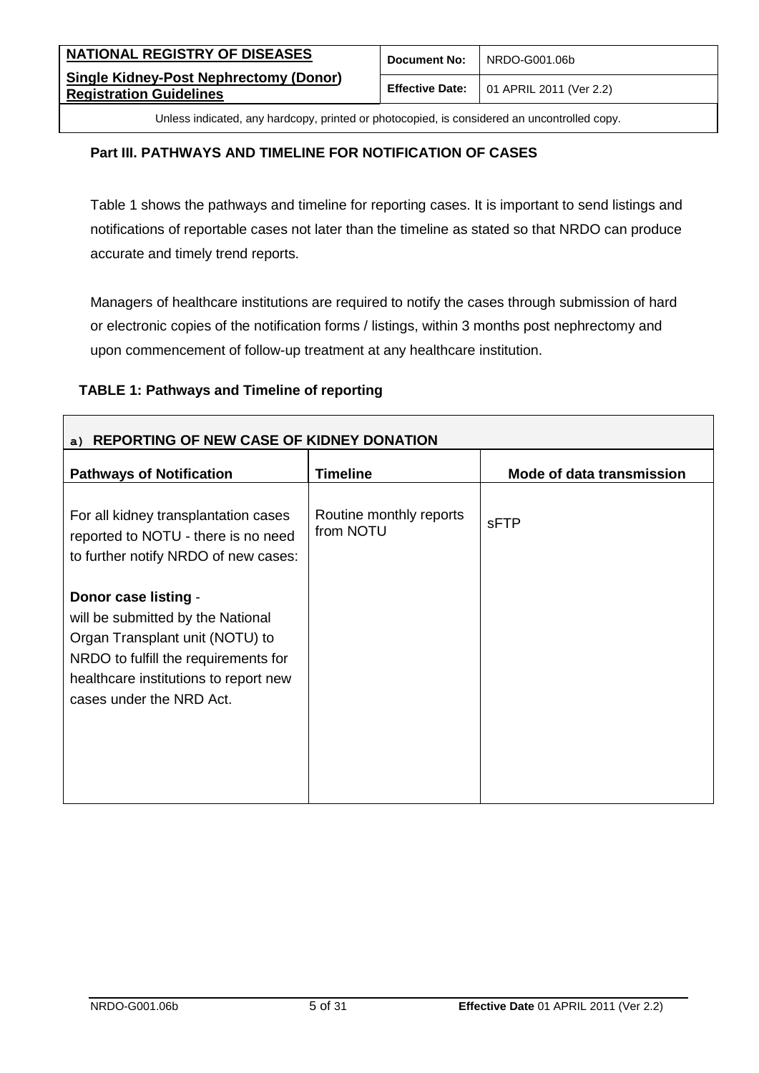| NATIONAL REGISTRY OF DISEASES                                                   | <b>Document No:</b> | NRDO-G001.06b                                          |
|---------------------------------------------------------------------------------|---------------------|--------------------------------------------------------|
| <b>Single Kidney-Post Nephrectomy (Donor)</b><br><b>Registration Guidelines</b> |                     | <b>Effective Date:</b> $\vert$ 01 APRIL 2011 (Ver 2.2) |

### <span id="page-4-0"></span>**Part III. PATHWAYS AND TIMELINE FOR NOTIFICATION OF CASES**

Table 1 shows the pathways and timeline for reporting cases. It is important to send listings and notifications of reportable cases not later than the timeline as stated so that NRDO can produce accurate and timely trend reports.

Managers of healthcare institutions are required to notify the cases through submission of hard or electronic copies of the notification forms / listings, within 3 months post nephrectomy and upon commencement of follow-up treatment at any healthcare institution.

#### **TABLE 1: Pathways and Timeline of reporting**

| a) REPORTING OF NEW CASE OF KIDNEY DONATION                                                                                                                                                               |                                      |                           |
|-----------------------------------------------------------------------------------------------------------------------------------------------------------------------------------------------------------|--------------------------------------|---------------------------|
| <b>Pathways of Notification</b>                                                                                                                                                                           | <b>Timeline</b>                      | Mode of data transmission |
| For all kidney transplantation cases<br>reported to NOTU - there is no need<br>to further notify NRDO of new cases:                                                                                       | Routine monthly reports<br>from NOTU | sFTP                      |
| Donor case listing -<br>will be submitted by the National<br>Organ Transplant unit (NOTU) to<br>NRDO to fulfill the requirements for<br>healthcare institutions to report new<br>cases under the NRD Act. |                                      |                           |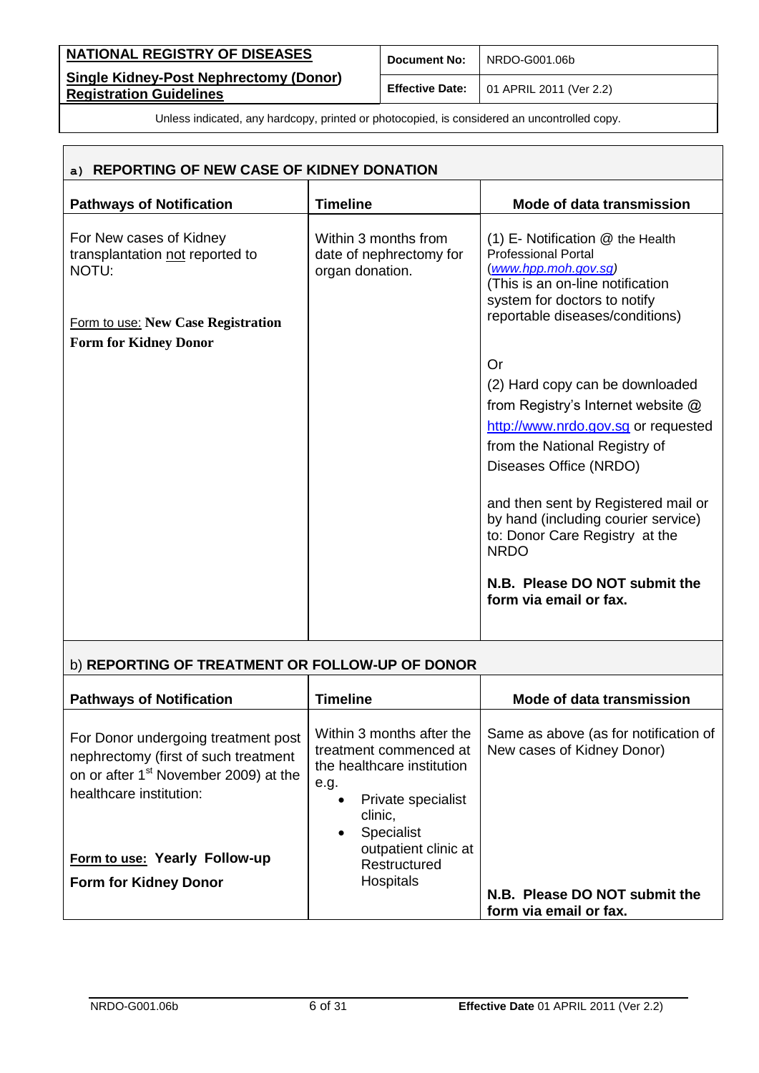| NATIONAL REGISTRY OF DISEASES                                                   | <b>Document No:</b> | NRDO-G001.06b                                          |
|---------------------------------------------------------------------------------|---------------------|--------------------------------------------------------|
| <b>Single Kidney-Post Nephrectomy (Donor)</b><br><b>Registration Guidelines</b> |                     | <b>Effective Date:</b> $\vert$ 01 APRIL 2011 (Ver 2.2) |

| a) REPORTING OF NEW CASE OF KIDNEY DONATION                         |                                                                    |                                                                                                                                                                |  |
|---------------------------------------------------------------------|--------------------------------------------------------------------|----------------------------------------------------------------------------------------------------------------------------------------------------------------|--|
| <b>Pathways of Notification</b>                                     | <b>Timeline</b>                                                    | Mode of data transmission                                                                                                                                      |  |
| For New cases of Kidney<br>transplantation not reported to<br>NOTU: | Within 3 months from<br>date of nephrectomy for<br>organ donation. | $(1)$ E- Notification $@$ the Health<br><b>Professional Portal</b><br>(www.hpp.moh.gov.sg)<br>(This is an on-line notification<br>system for doctors to notify |  |
| Form to use: New Case Registration                                  |                                                                    | reportable diseases/conditions)                                                                                                                                |  |
| <b>Form for Kidney Donor</b>                                        |                                                                    |                                                                                                                                                                |  |
|                                                                     |                                                                    | Or                                                                                                                                                             |  |
|                                                                     |                                                                    | (2) Hard copy can be downloaded<br>from Registry's Internet website @                                                                                          |  |
|                                                                     |                                                                    | http://www.nrdo.gov.sg or requested                                                                                                                            |  |
|                                                                     |                                                                    | from the National Registry of                                                                                                                                  |  |
|                                                                     |                                                                    | Diseases Office (NRDO)                                                                                                                                         |  |
|                                                                     |                                                                    | and then sent by Registered mail or<br>by hand (including courier service)<br>to: Donor Care Registry at the<br><b>NRDO</b>                                    |  |
|                                                                     |                                                                    | N.B. Please DO NOT submit the<br>form via email or fax.                                                                                                        |  |
|                                                                     |                                                                    |                                                                                                                                                                |  |

# b) **REPORTING OF TREATMENT OR FOLLOW-UP OF DONOR**

| <b>Pathways of Notification</b>                                                                                                                             | Timeline                                                                                                                                                                  | Mode of data transmission                                           |
|-------------------------------------------------------------------------------------------------------------------------------------------------------------|---------------------------------------------------------------------------------------------------------------------------------------------------------------------------|---------------------------------------------------------------------|
| For Donor undergoing treatment post<br>nephrectomy (first of such treatment<br>on or after 1 <sup>st</sup> November 2009) at the<br>healthcare institution: | Within 3 months after the<br>treatment commenced at<br>the healthcare institution<br>e.g.<br>Private specialist<br>$\bullet$<br>clinic.<br><b>Specialist</b><br>$\bullet$ | Same as above (as for notification of<br>New cases of Kidney Donor) |
| Form to use: Yearly Follow-up<br><b>Form for Kidney Donor</b>                                                                                               | outpatient clinic at<br>Restructured<br><b>Hospitals</b>                                                                                                                  |                                                                     |
|                                                                                                                                                             |                                                                                                                                                                           | N.B. Please DO NOT submit the<br>form via email or fax.             |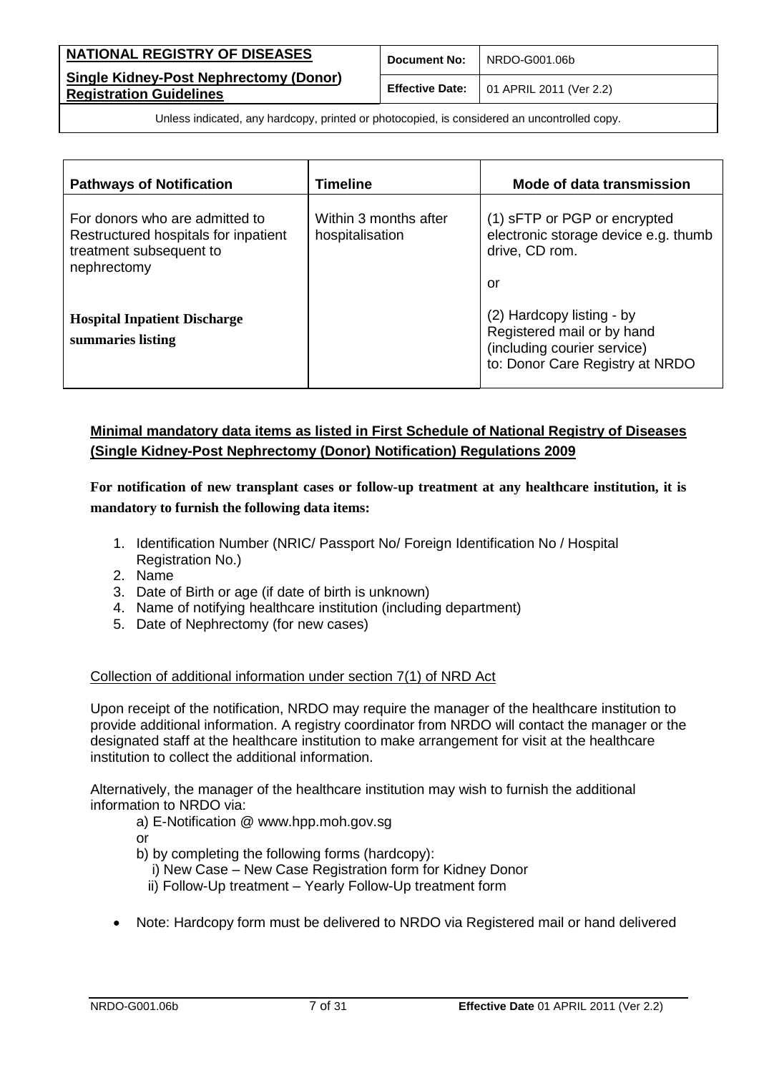| <b>NATIONAL REGISTRY OF DISEASES</b>                                            | <b>Document No:</b> | NRDO-G001.06b                                          |
|---------------------------------------------------------------------------------|---------------------|--------------------------------------------------------|
| <b>Single Kidney-Post Nephrectomy (Donor)</b><br><b>Registration Guidelines</b> |                     | <b>Effective Date:</b> $\vert$ 01 APRIL 2011 (Ver 2.2) |

| <b>Pathways of Notification</b>                                                                                  | <b>Timeline</b>                          | Mode of data transmission                                                                                                 |
|------------------------------------------------------------------------------------------------------------------|------------------------------------------|---------------------------------------------------------------------------------------------------------------------------|
| For donors who are admitted to<br>Restructured hospitals for inpatient<br>treatment subsequent to<br>nephrectomy | Within 3 months after<br>hospitalisation | (1) SFTP or PGP or encrypted<br>electronic storage device e.g. thumb<br>drive, CD rom.<br>or                              |
| <b>Hospital Inpatient Discharge</b><br>summaries listing                                                         |                                          | (2) Hardcopy listing - by<br>Registered mail or by hand<br>(including courier service)<br>to: Donor Care Registry at NRDO |

### **Minimal mandatory data items as listed in First Schedule of National Registry of Diseases (Single Kidney-Post Nephrectomy (Donor) Notification) Regulations 2009**

**For notification of new transplant cases or follow-up treatment at any healthcare institution, it is mandatory to furnish the following data items:**

- 1. Identification Number (NRIC/ Passport No/ Foreign Identification No / Hospital Registration No.)
- 2. Name
- 3. Date of Birth or age (if date of birth is unknown)
- 4. Name of notifying healthcare institution (including department)
- 5. Date of Nephrectomy (for new cases)

#### Collection of additional information under section 7(1) of NRD Act

Upon receipt of the notification, NRDO may require the manager of the healthcare institution to provide additional information. A registry coordinator from NRDO will contact the manager or the designated staff at the healthcare institution to make arrangement for visit at the healthcare institution to collect the additional information.

Alternatively, the manager of the healthcare institution may wish to furnish the additional information to NRDO via:

- a) E-Notification @ www.hpp.moh.gov.sg
- or
- b) by completing the following forms (hardcopy):
	- i) New Case New Case Registration form for Kidney Donor
	- ii) Follow-Up treatment Yearly Follow-Up treatment form
- Note: Hardcopy form must be delivered to NRDO via Registered mail or hand delivered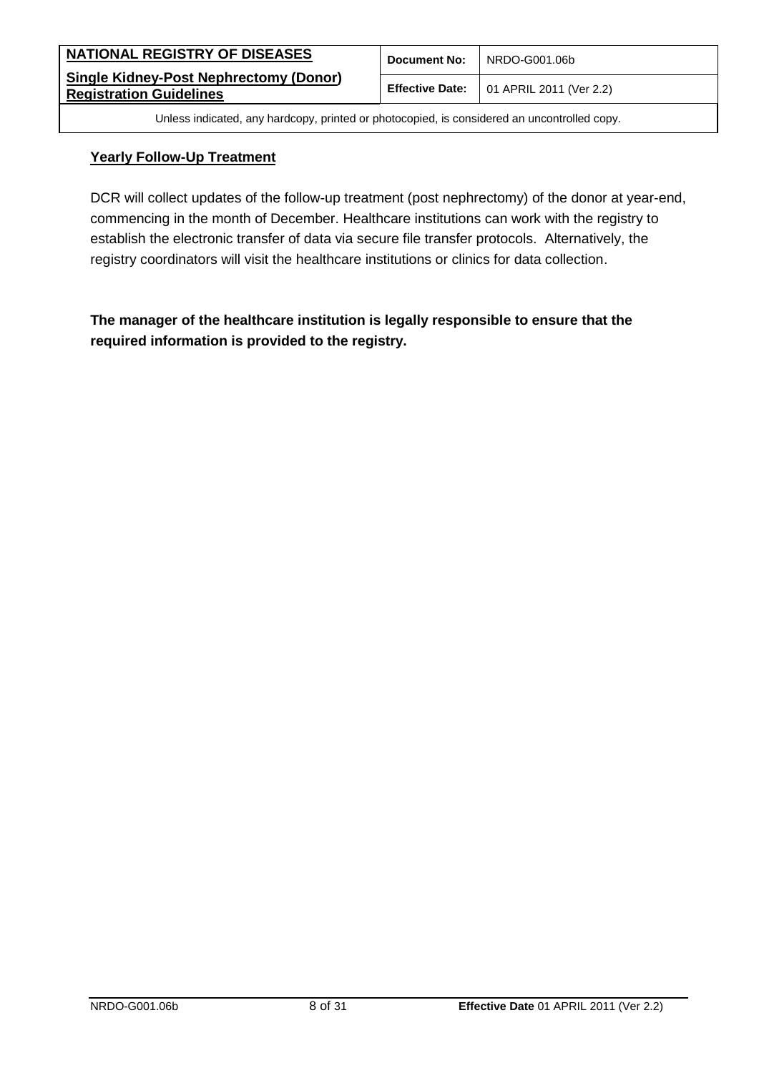| <b>NATIONAL REGISTRY OF DISEASES</b>                                            | <b>Document No:</b> | NRDO-G001.06b                                          |
|---------------------------------------------------------------------------------|---------------------|--------------------------------------------------------|
| <b>Single Kidney-Post Nephrectomy (Donor)</b><br><b>Registration Guidelines</b> |                     | <b>Effective Date:</b> $\vert$ 01 APRIL 2011 (Ver 2.2) |

#### **Yearly Follow-Up Treatment**

DCR will collect updates of the follow-up treatment (post nephrectomy) of the donor at year-end, commencing in the month of December. Healthcare institutions can work with the registry to establish the electronic transfer of data via secure file transfer protocols. Alternatively, the registry coordinators will visit the healthcare institutions or clinics for data collection.

**The manager of the healthcare institution is legally responsible to ensure that the required information is provided to the registry.**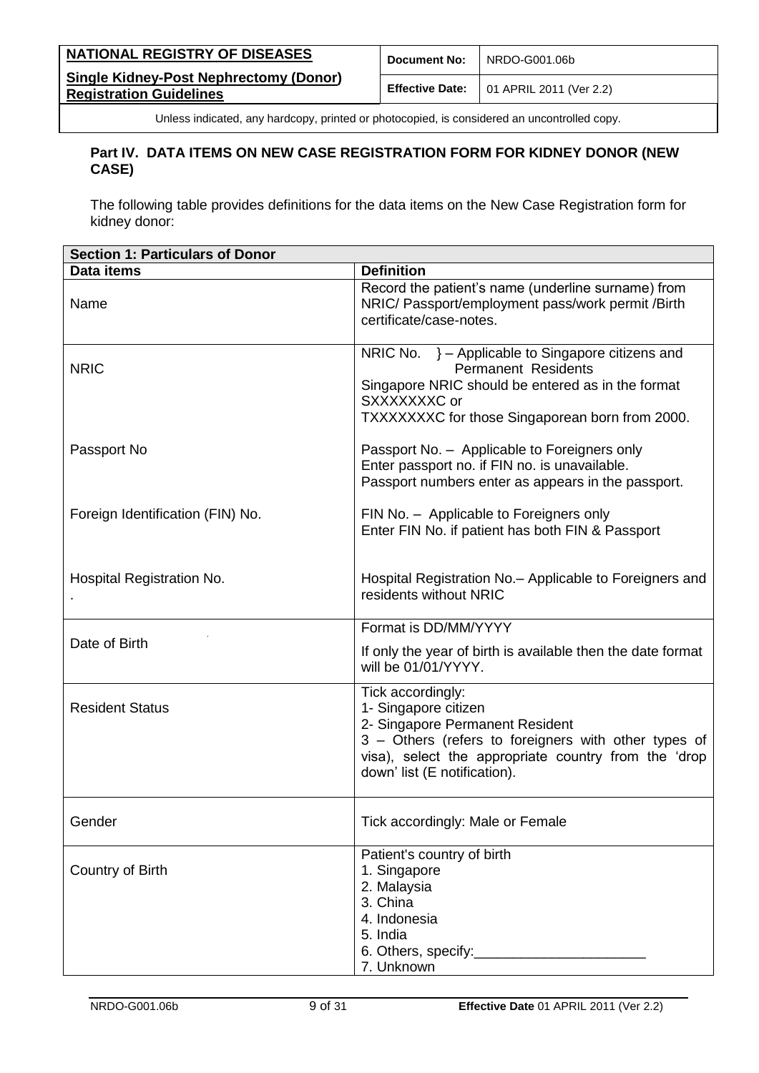| NATIONAL REGISTRY OF DISEASES                                                   | <b>Document No:</b> | NRDO-G001.06b                                          |
|---------------------------------------------------------------------------------|---------------------|--------------------------------------------------------|
| <b>Single Kidney-Post Nephrectomy (Donor)</b><br><b>Registration Guidelines</b> |                     | <b>Effective Date:</b> $\vert$ 01 APRIL 2011 (Ver 2.2) |

### <span id="page-8-0"></span>**Part IV. DATA ITEMS ON NEW CASE REGISTRATION FORM FOR KIDNEY DONOR (NEW CASE)**

The following table provides definitions for the data items on the New Case Registration form for kidney donor:

| <b>Section 1: Particulars of Donor</b> |                                                                                                                                                                                                                              |  |  |
|----------------------------------------|------------------------------------------------------------------------------------------------------------------------------------------------------------------------------------------------------------------------------|--|--|
| Data items                             | <b>Definition</b>                                                                                                                                                                                                            |  |  |
| Name                                   | Record the patient's name (underline surname) from<br>NRIC/ Passport/employment pass/work permit /Birth<br>certificate/case-notes.                                                                                           |  |  |
| <b>NRIC</b>                            | NRIC No. } - Applicable to Singapore citizens and<br><b>Permanent Residents</b><br>Singapore NRIC should be entered as in the format<br>SXXXXXXXC or<br>TXXXXXXXC for those Singaporean born from 2000.                      |  |  |
| Passport No                            | Passport No. - Applicable to Foreigners only<br>Enter passport no. if FIN no. is unavailable.<br>Passport numbers enter as appears in the passport.                                                                          |  |  |
| Foreign Identification (FIN) No.       | FIN No. - Applicable to Foreigners only<br>Enter FIN No. if patient has both FIN & Passport                                                                                                                                  |  |  |
| Hospital Registration No.              | Hospital Registration No. - Applicable to Foreigners and<br>residents without NRIC                                                                                                                                           |  |  |
|                                        | Format is DD/MM/YYYY                                                                                                                                                                                                         |  |  |
| Date of Birth                          | If only the year of birth is available then the date format<br>will be 01/01/YYYY.                                                                                                                                           |  |  |
| <b>Resident Status</b>                 | Tick accordingly:<br>1- Singapore citizen<br>2- Singapore Permanent Resident<br>3 - Others (refers to foreigners with other types of<br>visa), select the appropriate country from the 'drop<br>down' list (E notification). |  |  |
| Gender                                 | Tick accordingly: Male or Female                                                                                                                                                                                             |  |  |
| Country of Birth                       | Patient's country of birth<br>1. Singapore<br>2. Malaysia<br>3. China<br>4. Indonesia<br>5. India<br>6. Others, specify:________________<br>7. Unknown                                                                       |  |  |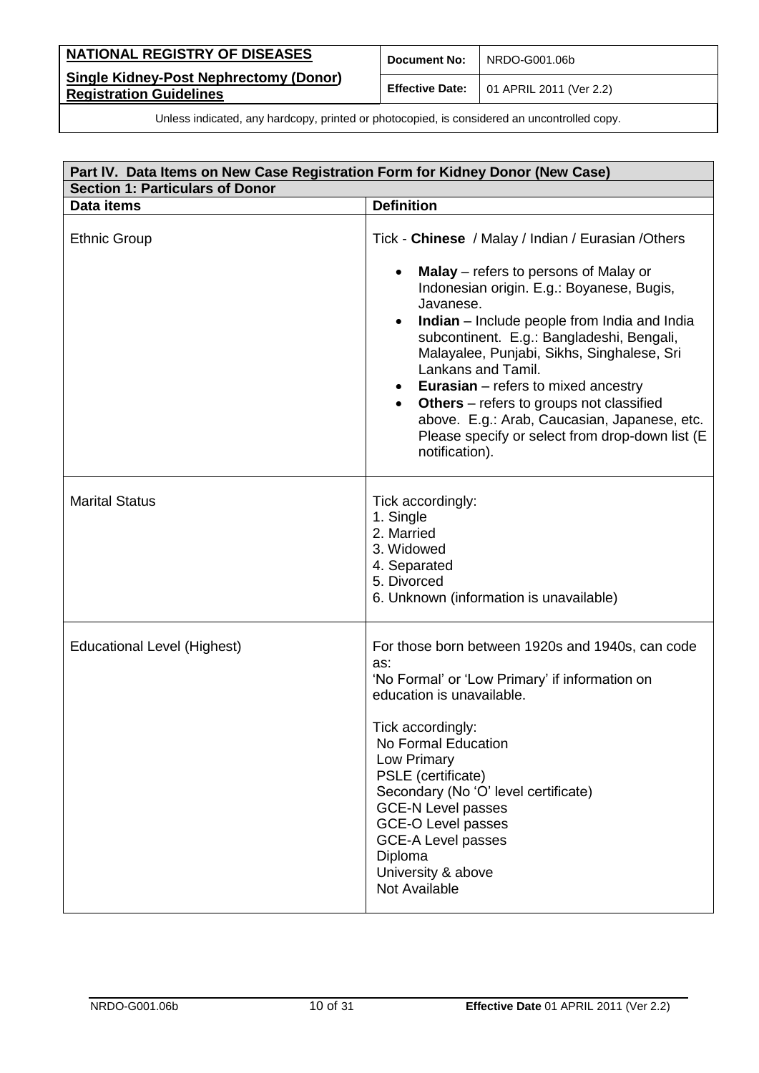| <b>NATIONAL REGISTRY OF DISEASES</b>                                            | Document No:           | NRDO-G001.06b           |
|---------------------------------------------------------------------------------|------------------------|-------------------------|
| <b>Single Kidney-Post Nephrectomy (Donor)</b><br><b>Registration Guidelines</b> | <b>Effective Date:</b> | 01 APRIL 2011 (Ver 2.2) |

|                                        | Part IV. Data Items on New Case Registration Form for Kidney Donor (New Case)                                                                                                                                                                                                                                                                                                                                                                                                                                         |  |
|----------------------------------------|-----------------------------------------------------------------------------------------------------------------------------------------------------------------------------------------------------------------------------------------------------------------------------------------------------------------------------------------------------------------------------------------------------------------------------------------------------------------------------------------------------------------------|--|
| <b>Section 1: Particulars of Donor</b> |                                                                                                                                                                                                                                                                                                                                                                                                                                                                                                                       |  |
| Data items                             | <b>Definition</b>                                                                                                                                                                                                                                                                                                                                                                                                                                                                                                     |  |
| <b>Ethnic Group</b>                    | Tick - Chinese / Malay / Indian / Eurasian / Others                                                                                                                                                                                                                                                                                                                                                                                                                                                                   |  |
|                                        | Malay – refers to persons of Malay or<br>Indonesian origin. E.g.: Boyanese, Bugis,<br>Javanese.<br>Indian - Include people from India and India<br>$\bullet$<br>subcontinent. E.g.: Bangladeshi, Bengali,<br>Malayalee, Punjabi, Sikhs, Singhalese, Sri<br>Lankans and Tamil.<br><b>Eurasian</b> – refers to mixed ancestry<br>٠<br><b>Others</b> – refers to groups not classified<br>$\bullet$<br>above. E.g.: Arab, Caucasian, Japanese, etc.<br>Please specify or select from drop-down list (E<br>notification). |  |
| <b>Marital Status</b>                  | Tick accordingly:<br>1. Single<br>2. Married<br>3. Widowed<br>4. Separated<br>5. Divorced<br>6. Unknown (information is unavailable)                                                                                                                                                                                                                                                                                                                                                                                  |  |
| <b>Educational Level (Highest)</b>     | For those born between 1920s and 1940s, can code<br>as:<br>'No Formal' or 'Low Primary' if information on<br>education is unavailable.<br>Tick accordingly:<br>No Formal Education<br>Low Primary<br>PSLE (certificate)<br>Secondary (No 'O' level certificate)<br><b>GCE-N Level passes</b><br><b>GCE-O Level passes</b><br><b>GCE-A Level passes</b><br>Diploma<br>University & above<br>Not Available                                                                                                              |  |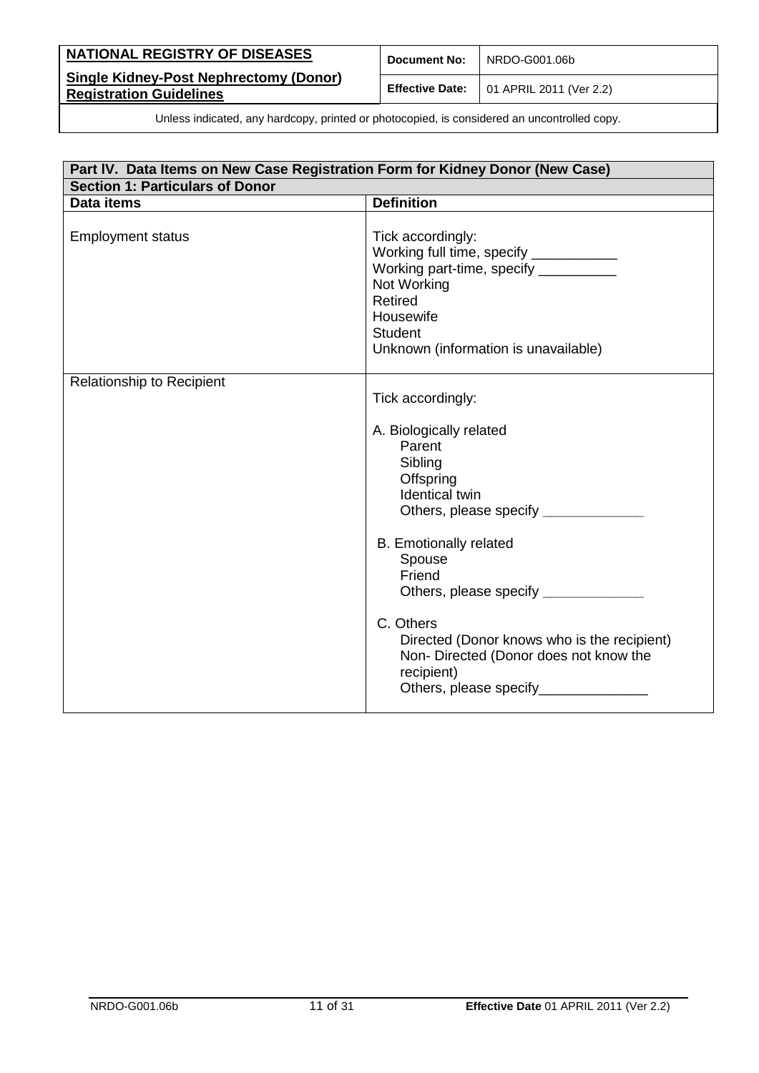| NATIONAL REGISTRY OF DISEASES                                                   | <b>Document No:</b> | NRDO-G001.06b                                          |
|---------------------------------------------------------------------------------|---------------------|--------------------------------------------------------|
| <b>Single Kidney-Post Nephrectomy (Donor)</b><br><b>Registration Guidelines</b> |                     | <b>Effective Date:</b> $\vert$ 01 APRIL 2011 (Ver 2.2) |

| Part IV. Data Items on New Case Registration Form for Kidney Donor (New Case)<br><b>Section 1: Particulars of Donor</b> |                                                                                                                                                                                                                                                                                                                                                                                               |  |
|-------------------------------------------------------------------------------------------------------------------------|-----------------------------------------------------------------------------------------------------------------------------------------------------------------------------------------------------------------------------------------------------------------------------------------------------------------------------------------------------------------------------------------------|--|
|                                                                                                                         |                                                                                                                                                                                                                                                                                                                                                                                               |  |
| <b>Employment status</b>                                                                                                | Tick accordingly:<br>Working full time, specify ____________<br>Working part-time, specify ___________<br>Not Working<br><b>Retired</b><br>Housewife<br><b>Student</b><br>Unknown (information is unavailable)                                                                                                                                                                                |  |
| <b>Relationship to Recipient</b>                                                                                        | Tick accordingly:<br>A. Biologically related<br>Parent<br>Sibling<br>Offspring<br><b>Identical twin</b><br>Others, please specify ____________<br><b>B.</b> Emotionally related<br>Spouse<br>Friend<br>Others, please specify ________<br>C. Others<br>Directed (Donor knows who is the recipient)<br>Non- Directed (Donor does not know the<br>recipient)<br>Others, please specify_________ |  |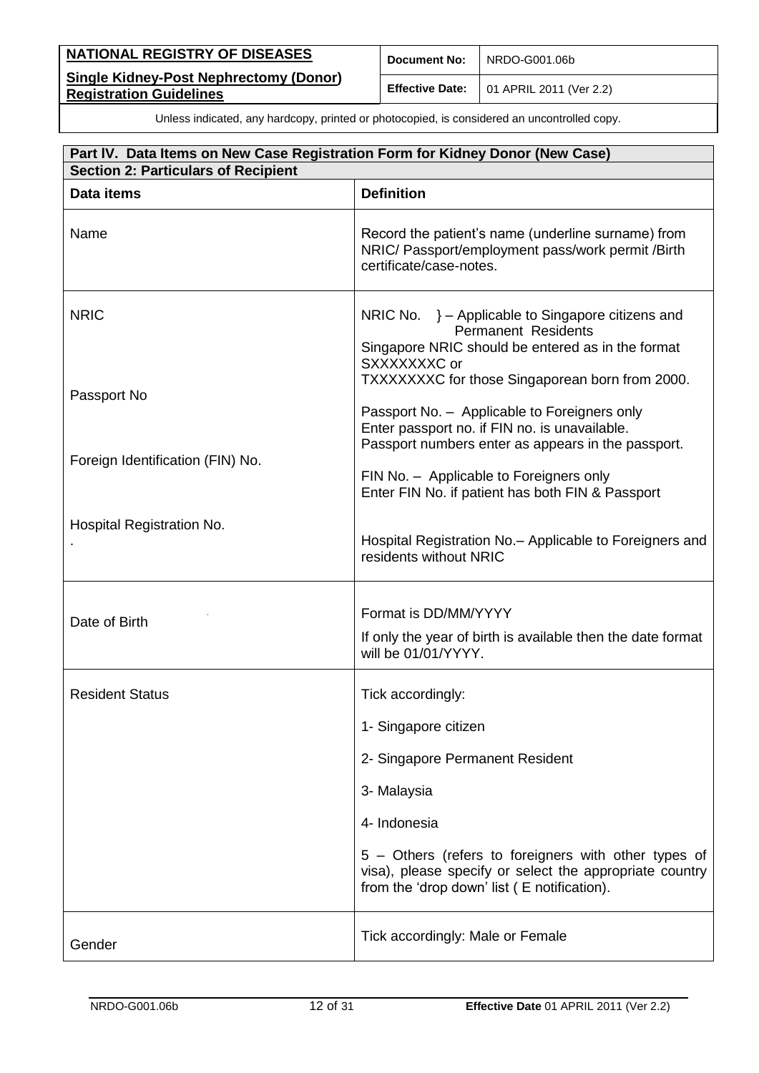| NATIONAL REGISTRY OF DISEASES                                                   | <b>Document No:</b>    | NRDO-G001.06b                   |
|---------------------------------------------------------------------------------|------------------------|---------------------------------|
| <b>Single Kidney-Post Nephrectomy (Donor)</b><br><b>Registration Guidelines</b> | <b>Effective Date:</b> | $\vert$ 01 APRIL 2011 (Ver 2.2) |

| Part IV. Data Items on New Case Registration Form for Kidney Donor (New Case)<br><b>Section 2: Particulars of Recipient</b> |                                                                                                                                                                |  |  |
|-----------------------------------------------------------------------------------------------------------------------------|----------------------------------------------------------------------------------------------------------------------------------------------------------------|--|--|
| Data items                                                                                                                  | <b>Definition</b>                                                                                                                                              |  |  |
| Name                                                                                                                        | Record the patient's name (underline surname) from<br>NRIC/ Passport/employment pass/work permit /Birth<br>certificate/case-notes.                             |  |  |
| <b>NRIC</b>                                                                                                                 | NRIC No. $\}$ – Applicable to Singapore citizens and<br><b>Permanent Residents</b><br>Singapore NRIC should be entered as in the format<br>SXXXXXXXC or        |  |  |
| Passport No                                                                                                                 | TXXXXXXXC for those Singaporean born from 2000.<br>Passport No. - Applicable to Foreigners only<br>Enter passport no. if FIN no. is unavailable.               |  |  |
| Foreign Identification (FIN) No.                                                                                            | Passport numbers enter as appears in the passport.<br>FIN No. - Applicable to Foreigners only<br>Enter FIN No. if patient has both FIN & Passport              |  |  |
| Hospital Registration No.                                                                                                   | Hospital Registration No. - Applicable to Foreigners and<br>residents without NRIC                                                                             |  |  |
| Date of Birth                                                                                                               | Format is DD/MM/YYYY<br>If only the year of birth is available then the date format<br>will be 01/01/YYYY.                                                     |  |  |
| <b>Resident Status</b>                                                                                                      | Tick accordingly:                                                                                                                                              |  |  |
|                                                                                                                             | 1- Singapore citizen                                                                                                                                           |  |  |
|                                                                                                                             | 2- Singapore Permanent Resident                                                                                                                                |  |  |
|                                                                                                                             | 3- Malaysia                                                                                                                                                    |  |  |
|                                                                                                                             | 4- Indonesia                                                                                                                                                   |  |  |
|                                                                                                                             | 5 – Others (refers to foreigners with other types of<br>visa), please specify or select the appropriate country<br>from the 'drop down' list (E notification). |  |  |
| Gender                                                                                                                      | Tick accordingly: Male or Female                                                                                                                               |  |  |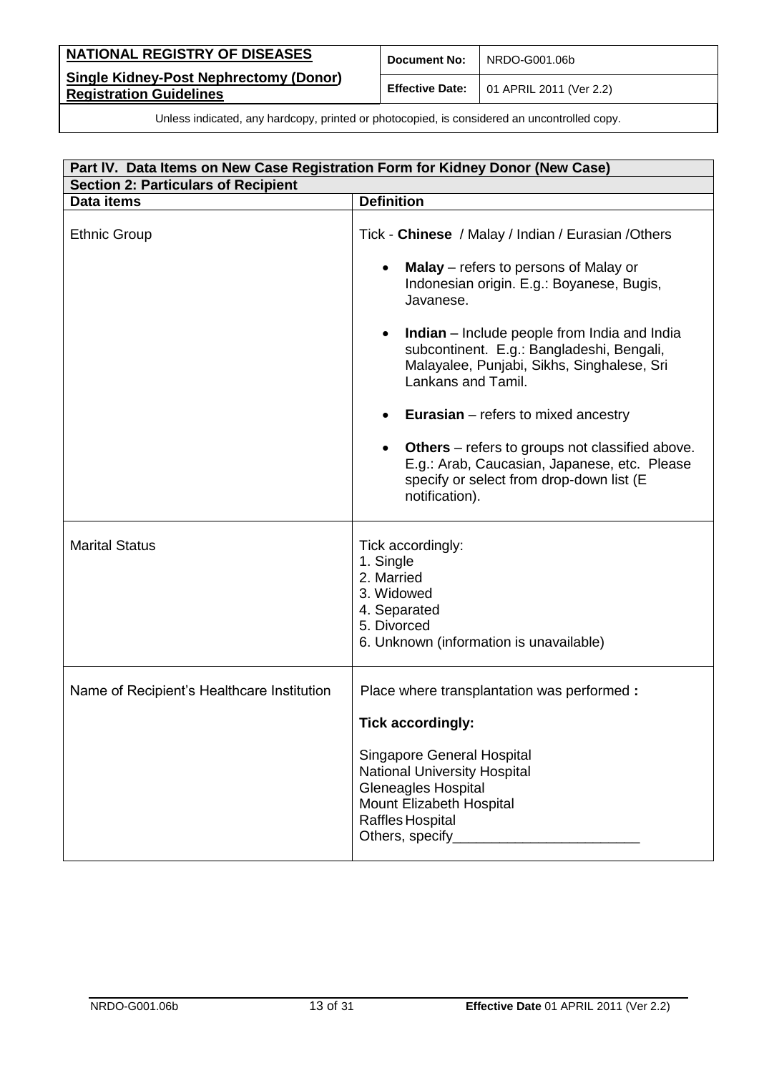| NATIONAL REGISTRY OF DISEASES                                                   | <b>Document No:</b> | NRDO-G001.06b                                          |
|---------------------------------------------------------------------------------|---------------------|--------------------------------------------------------|
| <b>Single Kidney-Post Nephrectomy (Donor)</b><br><b>Registration Guidelines</b> |                     | <b>Effective Date:</b> $\vert$ 01 APRIL 2011 (Ver 2.2) |

| Part IV. Data Items on New Case Registration Form for Kidney Donor (New Case) |                                                                                                                                                                           |  |  |
|-------------------------------------------------------------------------------|---------------------------------------------------------------------------------------------------------------------------------------------------------------------------|--|--|
| <b>Section 2: Particulars of Recipient</b>                                    |                                                                                                                                                                           |  |  |
| Data items                                                                    | <b>Definition</b>                                                                                                                                                         |  |  |
| <b>Ethnic Group</b>                                                           | Tick - Chinese / Malay / Indian / Eurasian / Others                                                                                                                       |  |  |
|                                                                               | <b>Malay</b> – refers to persons of Malay or<br>Indonesian origin. E.g.: Boyanese, Bugis,<br>Javanese.                                                                    |  |  |
|                                                                               | <b>Indian</b> – Include people from India and India<br>subcontinent. E.g.: Bangladeshi, Bengali,<br>Malayalee, Punjabi, Sikhs, Singhalese, Sri<br>Lankans and Tamil.      |  |  |
|                                                                               | <b>Eurasian</b> $-$ refers to mixed ancestry                                                                                                                              |  |  |
|                                                                               | <b>Others</b> – refers to groups not classified above.<br>٠<br>E.g.: Arab, Caucasian, Japanese, etc. Please<br>specify or select from drop-down list (E<br>notification). |  |  |
| <b>Marital Status</b>                                                         | Tick accordingly:<br>1. Single<br>2. Married<br>3. Widowed<br>4. Separated<br>5. Divorced<br>6. Unknown (information is unavailable)                                      |  |  |
| Name of Recipient's Healthcare Institution                                    | Place where transplantation was performed :                                                                                                                               |  |  |
|                                                                               | <b>Tick accordingly:</b>                                                                                                                                                  |  |  |
|                                                                               | Singapore General Hospital<br><b>National University Hospital</b><br><b>Gleneagles Hospital</b><br>Mount Elizabeth Hospital<br>Raffles Hospital                           |  |  |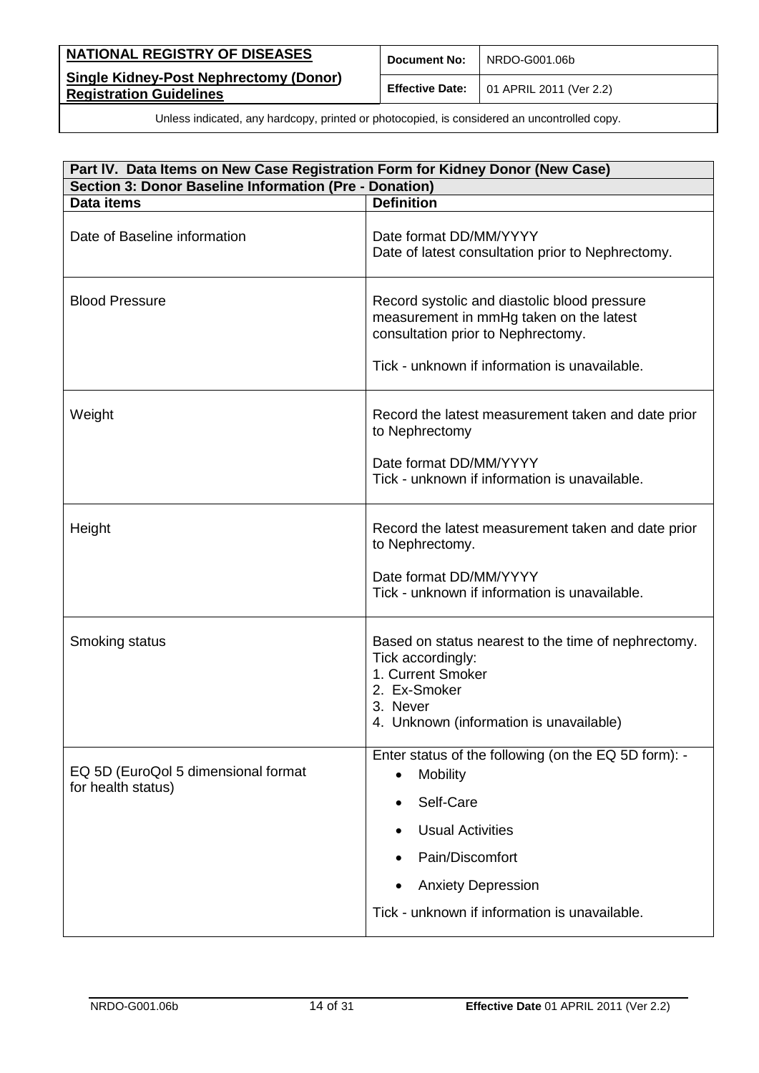| <b>NATIONAL REGISTRY OF DISEASES</b>                                            | <b>Document No:</b> | NRDO-G001.06b                                          |
|---------------------------------------------------------------------------------|---------------------|--------------------------------------------------------|
| <b>Single Kidney-Post Nephrectomy (Donor)</b><br><b>Registration Guidelines</b> |                     | <b>Effective Date:</b> $\vert$ 01 APRIL 2011 (Ver 2.2) |

| Part IV. Data Items on New Case Registration Form for Kidney Donor (New Case) |                                                                                                                                                                      |  |  |
|-------------------------------------------------------------------------------|----------------------------------------------------------------------------------------------------------------------------------------------------------------------|--|--|
| Section 3: Donor Baseline Information (Pre - Donation)                        |                                                                                                                                                                      |  |  |
| Data items                                                                    | <b>Definition</b>                                                                                                                                                    |  |  |
| Date of Baseline information                                                  | Date format DD/MM/YYYY<br>Date of latest consultation prior to Nephrectomy.                                                                                          |  |  |
| <b>Blood Pressure</b>                                                         | Record systolic and diastolic blood pressure<br>measurement in mmHg taken on the latest<br>consultation prior to Nephrectomy.                                        |  |  |
|                                                                               | Tick - unknown if information is unavailable.                                                                                                                        |  |  |
| Weight                                                                        | Record the latest measurement taken and date prior<br>to Nephrectomy                                                                                                 |  |  |
|                                                                               | Date format DD/MM/YYYY<br>Tick - unknown if information is unavailable.                                                                                              |  |  |
| Height                                                                        | Record the latest measurement taken and date prior<br>to Nephrectomy.                                                                                                |  |  |
|                                                                               | Date format DD/MM/YYYY<br>Tick - unknown if information is unavailable.                                                                                              |  |  |
| Smoking status                                                                | Based on status nearest to the time of nephrectomy.<br>Tick accordingly:<br>1. Current Smoker<br>2. Ex-Smoker<br>3. Never<br>4. Unknown (information is unavailable) |  |  |
|                                                                               |                                                                                                                                                                      |  |  |
| EQ 5D (EuroQol 5 dimensional format<br>for health status)                     | Enter status of the following (on the EQ 5D form): -<br>Mobility<br>$\bullet$                                                                                        |  |  |
|                                                                               | Self-Care                                                                                                                                                            |  |  |
|                                                                               | <b>Usual Activities</b>                                                                                                                                              |  |  |
|                                                                               | Pain/Discomfort                                                                                                                                                      |  |  |
|                                                                               | <b>Anxiety Depression</b>                                                                                                                                            |  |  |
|                                                                               | Tick - unknown if information is unavailable.                                                                                                                        |  |  |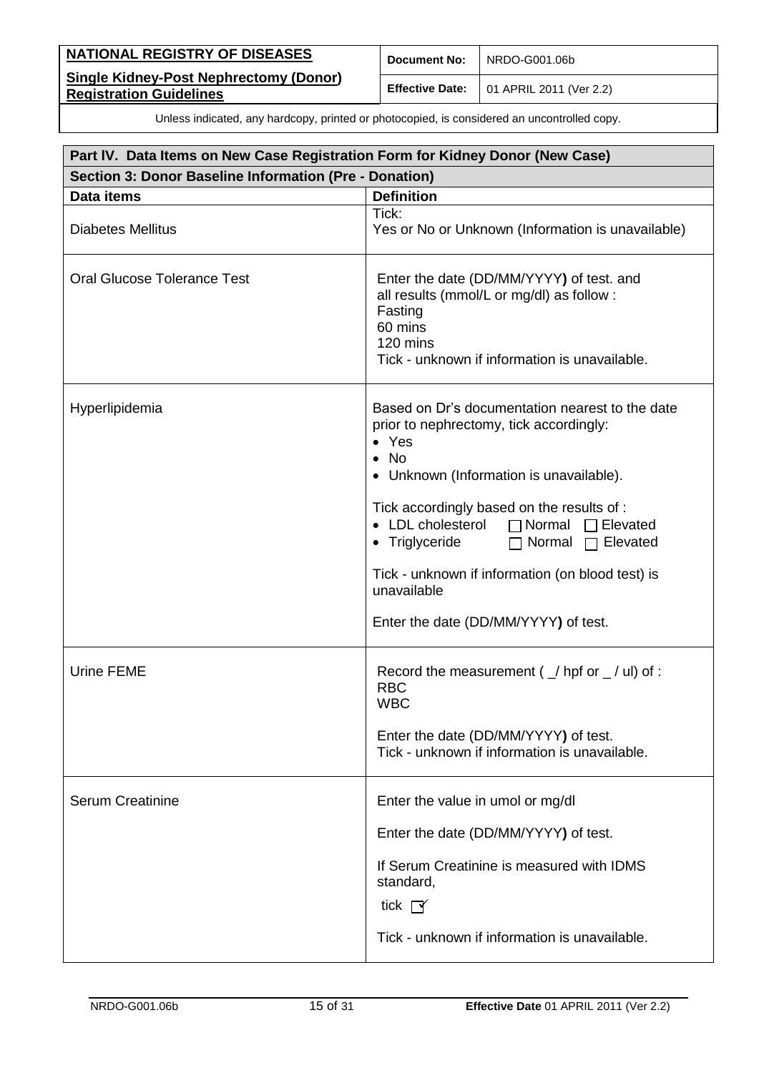| NATIONAL REGISTRY OF DISEASES                                                   | <b>Document No:</b> | NRDO-G001.06b                                          |
|---------------------------------------------------------------------------------|---------------------|--------------------------------------------------------|
| <b>Single Kidney-Post Nephrectomy (Donor)</b><br><b>Registration Guidelines</b> |                     | <b>Effective Date:</b> $\vert$ 01 APRIL 2011 (Ver 2.2) |

| Part IV. Data Items on New Case Registration Form for Kidney Donor (New Case) |                                                                                                                                                                                                                                                                                                                                                                                                                                             |  |  |
|-------------------------------------------------------------------------------|---------------------------------------------------------------------------------------------------------------------------------------------------------------------------------------------------------------------------------------------------------------------------------------------------------------------------------------------------------------------------------------------------------------------------------------------|--|--|
| Section 3: Donor Baseline Information (Pre - Donation)                        |                                                                                                                                                                                                                                                                                                                                                                                                                                             |  |  |
| Data items                                                                    | <b>Definition</b>                                                                                                                                                                                                                                                                                                                                                                                                                           |  |  |
| <b>Diabetes Mellitus</b>                                                      | Tick:<br>Yes or No or Unknown (Information is unavailable)                                                                                                                                                                                                                                                                                                                                                                                  |  |  |
| <b>Oral Glucose Tolerance Test</b>                                            | Enter the date (DD/MM/YYYY) of test. and<br>all results (mmol/L or mg/dl) as follow :<br>Fasting<br>60 mins<br>120 mins<br>Tick - unknown if information is unavailable.                                                                                                                                                                                                                                                                    |  |  |
| Hyperlipidemia                                                                | Based on Dr's documentation nearest to the date<br>prior to nephrectomy, tick accordingly:<br>$\bullet$ Yes<br>$\bullet$ No<br>• Unknown (Information is unavailable).<br>Tick accordingly based on the results of :<br>• LDL cholesterol<br>$\Box$ Normal<br>$\Box$ Elevated<br>• Triglyceride<br>$\Box$ Normal $\Box$ Elevated<br>Tick - unknown if information (on blood test) is<br>unavailable<br>Enter the date (DD/MM/YYYY) of test. |  |  |
| Urine FEME                                                                    | Record the measurement ( $\angle$ hpf or $\angle$ / ul) of :<br><b>RBC</b><br><b>WBC</b><br>Enter the date (DD/MM/YYYY) of test.<br>Tick - unknown if information is unavailable.                                                                                                                                                                                                                                                           |  |  |
| <b>Serum Creatinine</b>                                                       | Enter the value in umol or mg/dl<br>Enter the date (DD/MM/YYYY) of test.<br>If Serum Creatinine is measured with IDMS<br>standard,<br>tick $\Gamma$<br>Tick - unknown if information is unavailable.                                                                                                                                                                                                                                        |  |  |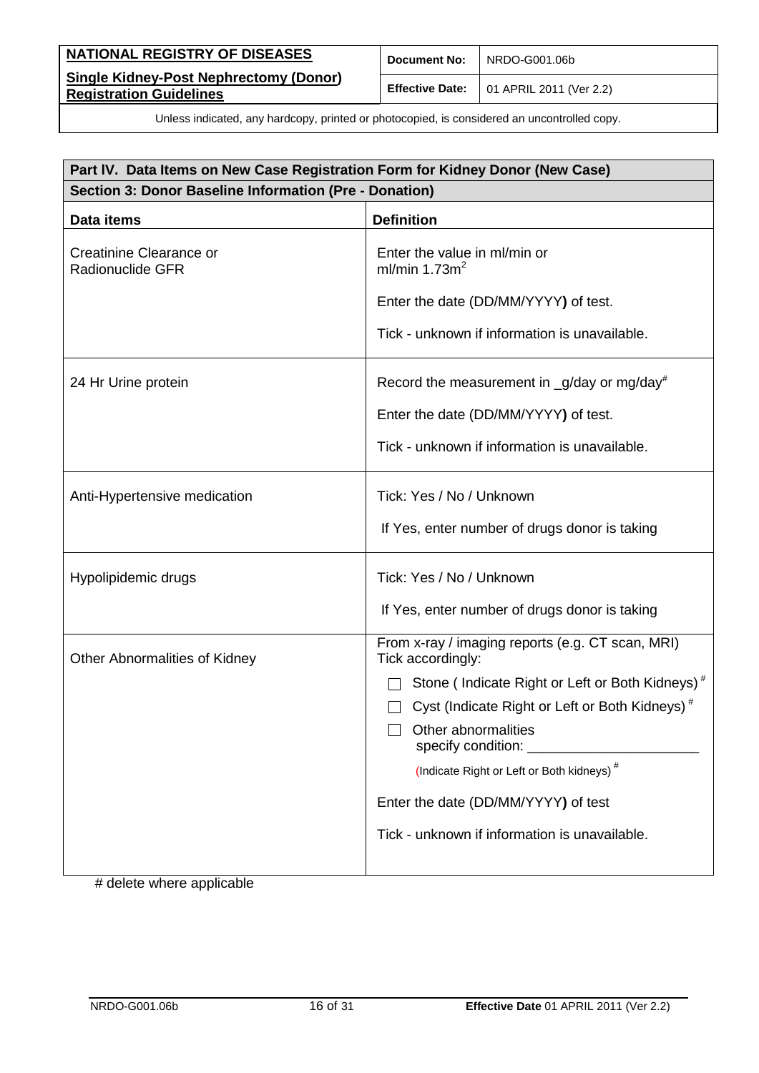| NATIONAL REGISTRY OF DISEASES                                                   | <b>Document No:</b>    | NRDO-G001.06b           |
|---------------------------------------------------------------------------------|------------------------|-------------------------|
| <b>Single Kidney-Post Nephrectomy (Donor)</b><br><b>Registration Guidelines</b> | <b>Effective Date:</b> | 01 APRIL 2011 (Ver 2.2) |

| Part IV. Data Items on New Case Registration Form for Kidney Donor (New Case) |                                                                       |  |
|-------------------------------------------------------------------------------|-----------------------------------------------------------------------|--|
| Section 3: Donor Baseline Information (Pre - Donation)                        |                                                                       |  |
| Data items                                                                    | <b>Definition</b>                                                     |  |
| Creatinine Clearance or<br><b>Radionuclide GFR</b>                            | Enter the value in ml/min or<br>ml/min $1.73m2$                       |  |
|                                                                               | Enter the date (DD/MM/YYYY) of test.                                  |  |
|                                                                               | Tick - unknown if information is unavailable.                         |  |
| 24 Hr Urine protein                                                           | Record the measurement in $-g$ /day or mg/day <sup>#</sup>            |  |
|                                                                               | Enter the date (DD/MM/YYYY) of test.                                  |  |
|                                                                               | Tick - unknown if information is unavailable.                         |  |
| Anti-Hypertensive medication                                                  | Tick: Yes / No / Unknown                                              |  |
|                                                                               | If Yes, enter number of drugs donor is taking                         |  |
| Hypolipidemic drugs                                                           | Tick: Yes / No / Unknown                                              |  |
|                                                                               | If Yes, enter number of drugs donor is taking                         |  |
| Other Abnormalities of Kidney                                                 | From x-ray / imaging reports (e.g. CT scan, MRI)<br>Tick accordingly: |  |
|                                                                               | Stone (Indicate Right or Left or Both Kidneys) <sup>#</sup>           |  |
|                                                                               | Cyst (Indicate Right or Left or Both Kidneys) <sup>#</sup>            |  |
|                                                                               | Other abnormalities<br>specify condition:                             |  |
|                                                                               | (Indicate Right or Left or Both kidneys) <sup>#</sup>                 |  |
|                                                                               | Enter the date (DD/MM/YYYY) of test                                   |  |
|                                                                               | Tick - unknown if information is unavailable.                         |  |

# delete where applicable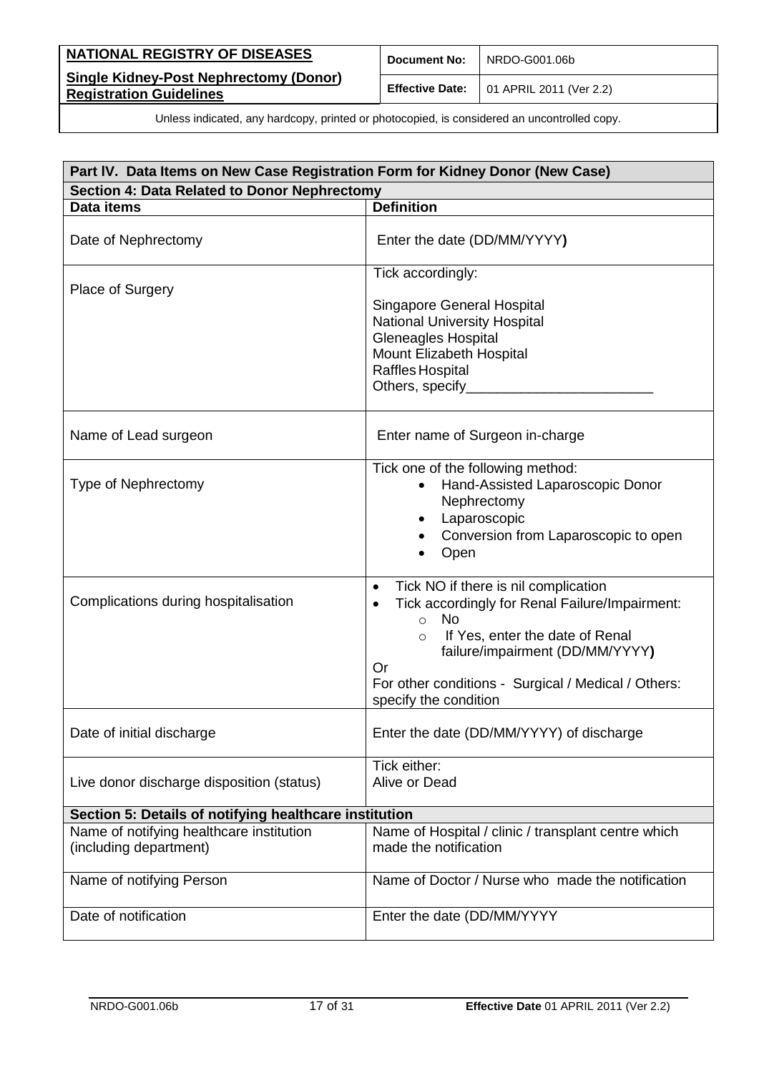| NATIONAL REGISTRY OF DISEASES                                                   | <b>Document No:</b> | NRDO-G001.06b                                          |
|---------------------------------------------------------------------------------|---------------------|--------------------------------------------------------|
| <b>Single Kidney-Post Nephrectomy (Donor)</b><br><b>Registration Guidelines</b> |                     | <b>Effective Date:</b> $\vert$ 01 APRIL 2011 (Ver 2.2) |

| Part IV. Data Items on New Case Registration Form for Kidney Donor (New Case) |                                                                                                                                                                                                                                                                                                    |  |  |
|-------------------------------------------------------------------------------|----------------------------------------------------------------------------------------------------------------------------------------------------------------------------------------------------------------------------------------------------------------------------------------------------|--|--|
| Section 4: Data Related to Donor Nephrectomy                                  |                                                                                                                                                                                                                                                                                                    |  |  |
| <b>Data items</b>                                                             | <b>Definition</b>                                                                                                                                                                                                                                                                                  |  |  |
| Date of Nephrectomy                                                           | Enter the date (DD/MM/YYYY)                                                                                                                                                                                                                                                                        |  |  |
| Place of Surgery                                                              | Tick accordingly:                                                                                                                                                                                                                                                                                  |  |  |
|                                                                               | <b>Singapore General Hospital</b><br><b>National University Hospital</b><br><b>Gleneagles Hospital</b><br>Mount Elizabeth Hospital<br>Raffles Hospital<br>Others, specify_                                                                                                                         |  |  |
| Name of Lead surgeon                                                          | Enter name of Surgeon in-charge                                                                                                                                                                                                                                                                    |  |  |
| <b>Type of Nephrectomy</b>                                                    | Tick one of the following method:<br>Hand-Assisted Laparoscopic Donor<br>Nephrectomy<br>Laparoscopic<br>Conversion from Laparoscopic to open<br>Open                                                                                                                                               |  |  |
| Complications during hospitalisation                                          | Tick NO if there is nil complication<br>$\bullet$<br>Tick accordingly for Renal Failure/Impairment:<br><b>No</b><br>$\circ$<br>If Yes, enter the date of Renal<br>$\circ$<br>failure/impairment (DD/MM/YYYY)<br>Or<br>For other conditions - Surgical / Medical / Others:<br>specify the condition |  |  |
| Date of initial discharge                                                     | Enter the date (DD/MM/YYYY) of discharge                                                                                                                                                                                                                                                           |  |  |
| Live donor discharge disposition (status)                                     | Tick either:<br>Alive or Dead                                                                                                                                                                                                                                                                      |  |  |
| Section 5: Details of notifying healthcare institution                        |                                                                                                                                                                                                                                                                                                    |  |  |
| Name of notifying healthcare institution<br>(including department)            | Name of Hospital / clinic / transplant centre which<br>made the notification                                                                                                                                                                                                                       |  |  |
| Name of notifying Person                                                      | Name of Doctor / Nurse who made the notification                                                                                                                                                                                                                                                   |  |  |
| Date of notification                                                          | Enter the date (DD/MM/YYYY                                                                                                                                                                                                                                                                         |  |  |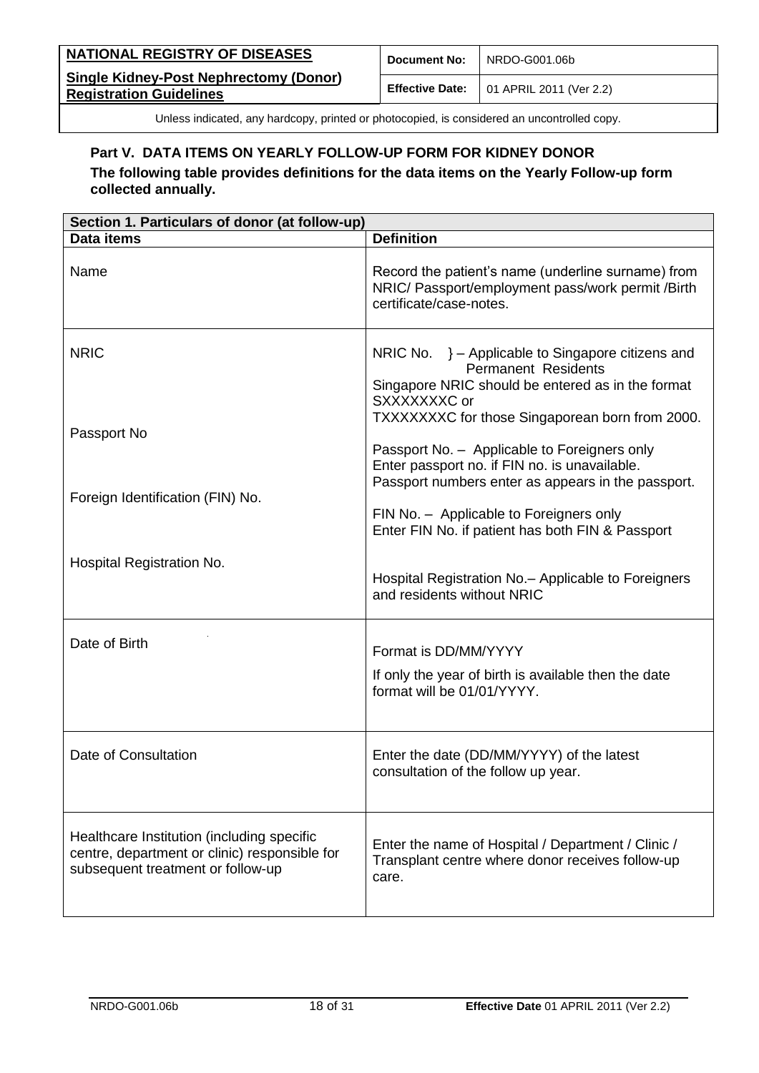| <b>NATIONAL REGISTRY OF DISEASES</b>                                            | <b>Document No:</b> | NRDO-G001.06b                                          |
|---------------------------------------------------------------------------------|---------------------|--------------------------------------------------------|
| <b>Single Kidney-Post Nephrectomy (Donor)</b><br><b>Registration Guidelines</b> |                     | <b>Effective Date:</b> $\vert$ 01 APRIL 2011 (Ver 2.2) |

### <span id="page-17-0"></span>**Part V. DATA ITEMS ON YEARLY FOLLOW-UP FORM FOR KIDNEY DONOR**

**The following table provides definitions for the data items on the Yearly Follow-up form collected annually.**

| Section 1. Particulars of donor (at follow-up)                                                                                   |                                                                                                                                                                                                        |  |  |
|----------------------------------------------------------------------------------------------------------------------------------|--------------------------------------------------------------------------------------------------------------------------------------------------------------------------------------------------------|--|--|
| Data items                                                                                                                       | <b>Definition</b>                                                                                                                                                                                      |  |  |
| Name                                                                                                                             | Record the patient's name (underline surname) from<br>NRIC/ Passport/employment pass/work permit /Birth<br>certificate/case-notes.                                                                     |  |  |
| <b>NRIC</b>                                                                                                                      | NRIC No. } - Applicable to Singapore citizens and<br><b>Permanent Residents</b><br>Singapore NRIC should be entered as in the format<br>SXXXXXXXC or                                                   |  |  |
| Passport No                                                                                                                      | TXXXXXXXC for those Singaporean born from 2000.<br>Passport No. - Applicable to Foreigners only<br>Enter passport no. if FIN no. is unavailable.<br>Passport numbers enter as appears in the passport. |  |  |
| Foreign Identification (FIN) No.                                                                                                 | FIN No. - Applicable to Foreigners only<br>Enter FIN No. if patient has both FIN & Passport                                                                                                            |  |  |
| Hospital Registration No.                                                                                                        | Hospital Registration No. - Applicable to Foreigners<br>and residents without NRIC                                                                                                                     |  |  |
| Date of Birth                                                                                                                    | Format is DD/MM/YYYY<br>If only the year of birth is available then the date<br>format will be 01/01/YYYY.                                                                                             |  |  |
| Date of Consultation                                                                                                             | Enter the date (DD/MM/YYYY) of the latest<br>consultation of the follow up year.                                                                                                                       |  |  |
| Healthcare Institution (including specific<br>centre, department or clinic) responsible for<br>subsequent treatment or follow-up | Enter the name of Hospital / Department / Clinic /<br>Transplant centre where donor receives follow-up<br>care.                                                                                        |  |  |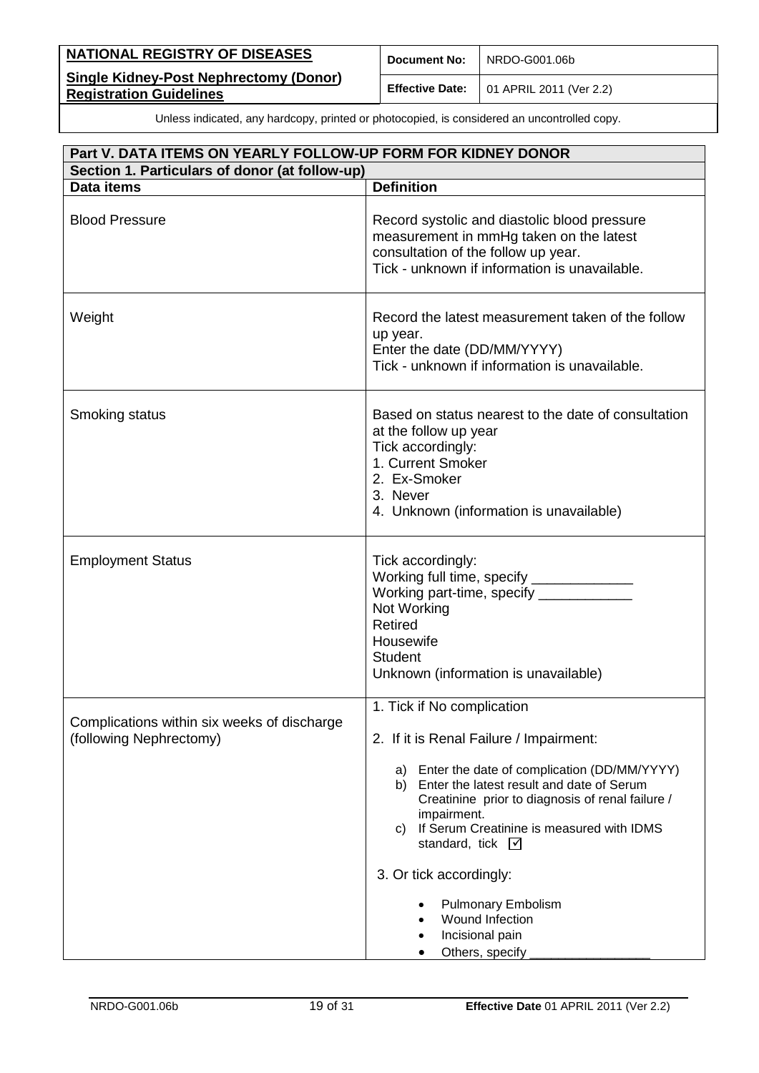| <b>NATIONAL REGISTRY OF DISEASES</b>                                            | <b>Document No:</b> | NRDO-G001.06b                                          |
|---------------------------------------------------------------------------------|---------------------|--------------------------------------------------------|
| <b>Single Kidney-Post Nephrectomy (Donor)</b><br><b>Registration Guidelines</b> |                     | <b>Effective Date:</b> $\vert$ 01 APRIL 2011 (Ver 2.2) |

| Part V. DATA ITEMS ON YEARLY FOLLOW-UP FORM FOR KIDNEY DONOR           |                                                                                                                                                                                                                                                                                                                                                                                                                                                 |  |  |
|------------------------------------------------------------------------|-------------------------------------------------------------------------------------------------------------------------------------------------------------------------------------------------------------------------------------------------------------------------------------------------------------------------------------------------------------------------------------------------------------------------------------------------|--|--|
| Section 1. Particulars of donor (at follow-up)                         |                                                                                                                                                                                                                                                                                                                                                                                                                                                 |  |  |
| Data items                                                             | <b>Definition</b>                                                                                                                                                                                                                                                                                                                                                                                                                               |  |  |
| <b>Blood Pressure</b>                                                  | Record systolic and diastolic blood pressure<br>measurement in mmHg taken on the latest<br>consultation of the follow up year.<br>Tick - unknown if information is unavailable.                                                                                                                                                                                                                                                                 |  |  |
| Weight                                                                 | Record the latest measurement taken of the follow<br>up year.<br>Enter the date (DD/MM/YYYY)<br>Tick - unknown if information is unavailable.                                                                                                                                                                                                                                                                                                   |  |  |
| Smoking status                                                         | Based on status nearest to the date of consultation<br>at the follow up year<br>Tick accordingly:<br>1. Current Smoker<br>2. Ex-Smoker<br>3. Never<br>4. Unknown (information is unavailable)                                                                                                                                                                                                                                                   |  |  |
| <b>Employment Status</b>                                               | Tick accordingly:<br>Working full time, specify _______________<br>Working part-time, specify ___________<br>Not Working<br><b>Retired</b><br>Housewife<br><b>Student</b><br>Unknown (information is unavailable)                                                                                                                                                                                                                               |  |  |
| Complications within six weeks of discharge<br>(following Nephrectomy) | 1. Tick if No complication<br>2. If it is Renal Failure / Impairment:<br>Enter the date of complication (DD/MM/YYYY)<br>a)<br>Enter the latest result and date of Serum<br>b)<br>Creatinine prior to diagnosis of renal failure /<br>impairment.<br>If Serum Creatinine is measured with IDMS<br>C)<br>standard, tick $\nabla$<br>3. Or tick accordingly:<br><b>Pulmonary Embolism</b><br>Wound Infection<br>Incisional pain<br>Others, specify |  |  |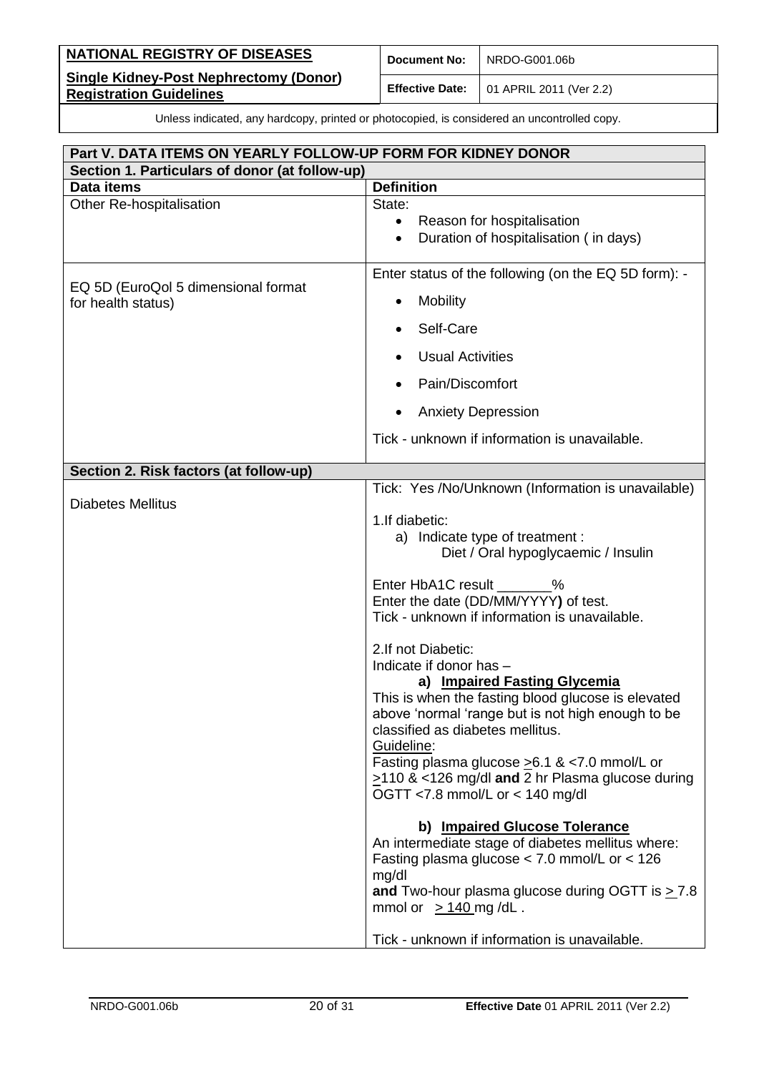| NATIONAL REGISTRY OF DISEASES                                                   | <b>Document No:</b> | NRDO-G001.06b                                          |
|---------------------------------------------------------------------------------|---------------------|--------------------------------------------------------|
| <b>Single Kidney-Post Nephrectomy (Donor)</b><br><b>Registration Guidelines</b> |                     | <b>Effective Date:</b> $\vert$ 01 APRIL 2011 (Ver 2.2) |

| Part V. DATA ITEMS ON YEARLY FOLLOW-UP FORM FOR KIDNEY DONOR |                                                                                               |  |
|--------------------------------------------------------------|-----------------------------------------------------------------------------------------------|--|
| Section 1. Particulars of donor (at follow-up)               |                                                                                               |  |
| Data items                                                   | <b>Definition</b>                                                                             |  |
| Other Re-hospitalisation                                     | State:                                                                                        |  |
|                                                              | Reason for hospitalisation<br>$\bullet$<br>Duration of hospitalisation (in days)<br>$\bullet$ |  |
|                                                              |                                                                                               |  |
|                                                              | Enter status of the following (on the EQ 5D form): -                                          |  |
| EQ 5D (EuroQol 5 dimensional format<br>for health status)    | <b>Mobility</b><br>٠                                                                          |  |
|                                                              | Self-Care                                                                                     |  |
|                                                              | <b>Usual Activities</b>                                                                       |  |
|                                                              | Pain/Discomfort                                                                               |  |
|                                                              | <b>Anxiety Depression</b>                                                                     |  |
|                                                              | Tick - unknown if information is unavailable.                                                 |  |
| Section 2. Risk factors (at follow-up)                       |                                                                                               |  |
|                                                              | Tick: Yes /No/Unknown (Information is unavailable)                                            |  |
| <b>Diabetes Mellitus</b>                                     |                                                                                               |  |
|                                                              | 1. If diabetic:<br>a) Indicate type of treatment :                                            |  |
|                                                              | Diet / Oral hypoglycaemic / Insulin                                                           |  |
|                                                              | Enter HbA1C result _______%                                                                   |  |
|                                                              | Enter the date (DD/MM/YYYY) of test.                                                          |  |
|                                                              | Tick - unknown if information is unavailable.                                                 |  |
|                                                              | 2.If not Diabetic:                                                                            |  |
|                                                              | Indicate if donor has -                                                                       |  |
|                                                              | a) Impaired Fasting Glycemia                                                                  |  |
|                                                              | This is when the fasting blood glucose is elevated                                            |  |
|                                                              | above 'normal 'range but is not high enough to be<br>classified as diabetes mellitus.         |  |
|                                                              | Guideline:                                                                                    |  |
|                                                              | Fasting plasma glucose > 6.1 & < 7.0 mmol/L or                                                |  |
|                                                              | $\ge$ 110 & <126 mg/dl and 2 hr Plasma glucose during                                         |  |
|                                                              | OGTT <7.8 mmol/L or < 140 mg/dl                                                               |  |
|                                                              | b) Impaired Glucose Tolerance                                                                 |  |
|                                                              | An intermediate stage of diabetes mellitus where:                                             |  |
|                                                              | Fasting plasma glucose $<$ 7.0 mmol/L or $<$ 126<br>mg/dl                                     |  |
|                                                              | and Two-hour plasma glucose during OGTT is $\geq$ 7.8                                         |  |
|                                                              | mmol or $\geq$ 140 mg/dL.                                                                     |  |
|                                                              | Tick - unknown if information is unavailable.                                                 |  |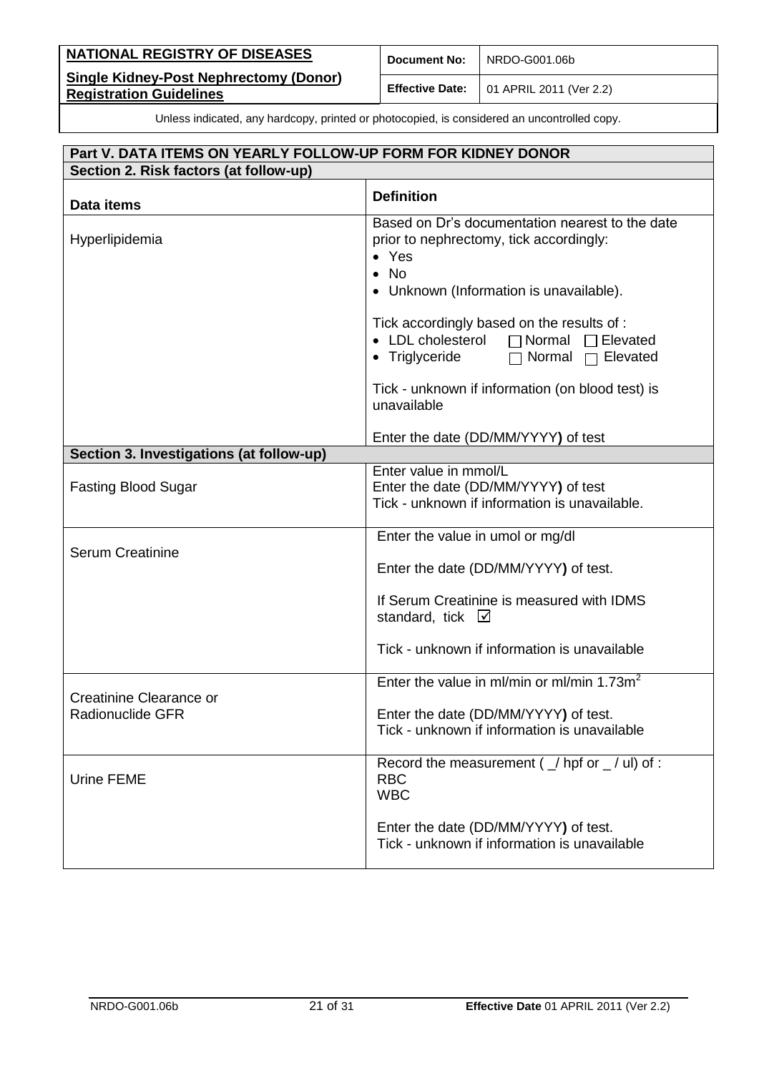| NATIONAL REGISTRY OF DISEASES                                                   | <b>Document No:</b> | NRDO-G001.06b                                          |
|---------------------------------------------------------------------------------|---------------------|--------------------------------------------------------|
| <b>Single Kidney-Post Nephrectomy (Donor)</b><br><b>Registration Guidelines</b> |                     | <b>Effective Date:</b> $\vert$ 01 APRIL 2011 (Ver 2.2) |

# **Part V. DATA ITEMS ON YEARLY FOLLOW-UP FORM FOR KIDNEY DONOR Section 2. Risk factors (at follow-up) Data items Definition** Hyperlipidemia Based on Dr's documentation nearest to the date prior to nephrectomy, tick accordingly: Yes  $\bullet$  No Unknown (Information is unavailable). Tick accordingly based on the results of : • LDL cholesterol  $\Box$  Normal  $\Box$  Elevated • Triglyceride  $\Box$  Normal  $\Box$  Elevated Tick - unknown if information (on blood test) is unavailable Enter the date (DD/MM/YYYY**)** of test **Section 3. Investigations (at follow-up)** Fasting Blood Sugar Enter value in mmol/L Enter the date (DD/MM/YYYY**)** of test Tick - unknown if information is unavailable. Serum Creatinine Enter the value in umol or mg/dl Enter the date (DD/MM/YYYY**)** of test. If Serum Creatinine is measured with IDMS standard, tick  $\boxtimes$ Tick - unknown if information is unavailable Creatinine Clearance or Radionuclide GFR Enter the value in ml/min or ml/min  $1.73m^2$ Enter the date (DD/MM/YYYY**)** of test. Tick - unknown if information is unavailable Urine FEME Record the measurement ( $/$  hpf or  $/$  ul) of : RBC WBC Enter the date (DD/MM/YYYY**)** of test. Tick - unknown if information is unavailable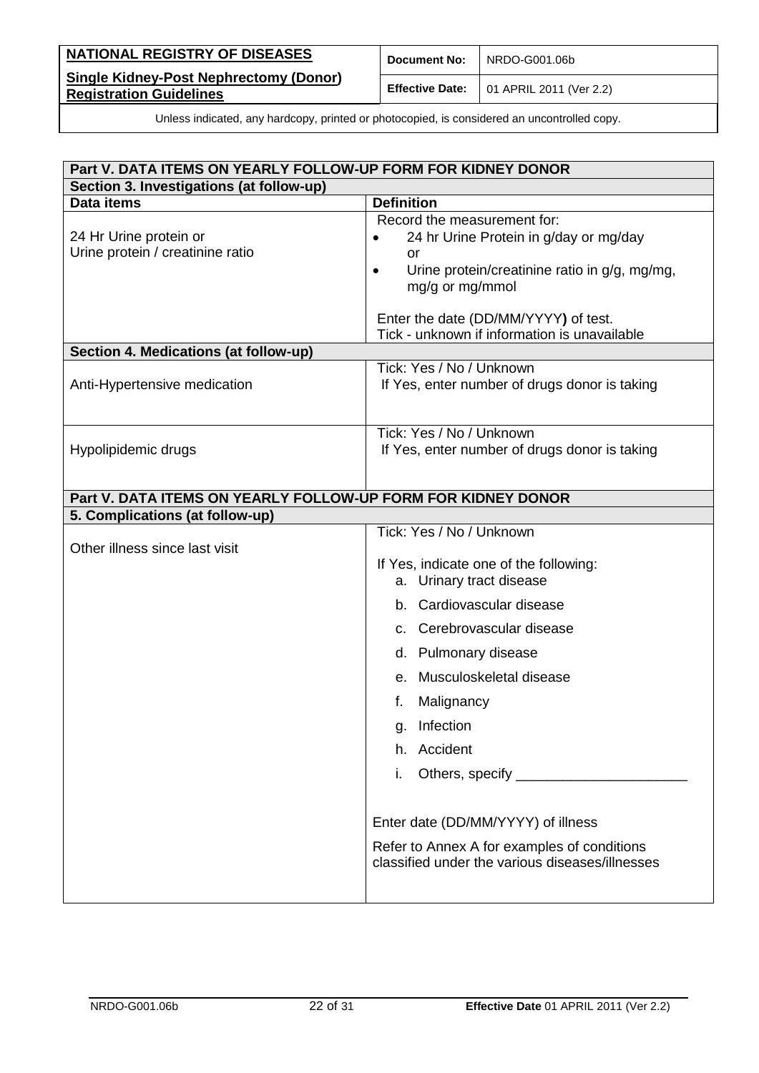| NATIONAL REGISTRY OF DISEASES                                                   | <b>Document No:</b> | NRDO-G001.06b                                          |
|---------------------------------------------------------------------------------|---------------------|--------------------------------------------------------|
| <b>Single Kidney-Post Nephrectomy (Donor)</b><br><b>Registration Guidelines</b> |                     | <b>Effective Date:</b> $\vert$ 01 APRIL 2011 (Ver 2.2) |

| Part V. DATA ITEMS ON YEARLY FOLLOW-UP FORM FOR KIDNEY DONOR |                                                                                                                                                                                                                                                                                                                                                                                                                        |  |  |
|--------------------------------------------------------------|------------------------------------------------------------------------------------------------------------------------------------------------------------------------------------------------------------------------------------------------------------------------------------------------------------------------------------------------------------------------------------------------------------------------|--|--|
| Section 3. Investigations (at follow-up)                     |                                                                                                                                                                                                                                                                                                                                                                                                                        |  |  |
| Data items                                                   | <b>Definition</b>                                                                                                                                                                                                                                                                                                                                                                                                      |  |  |
| 24 Hr Urine protein or<br>Urine protein / creatinine ratio   | Record the measurement for:<br>24 hr Urine Protein in g/day or mg/day<br><b>or</b><br>Urine protein/creatinine ratio in g/g, mg/mg,<br>$\bullet$<br>mg/g or mg/mmol<br>Enter the date (DD/MM/YYYY) of test.<br>Tick - unknown if information is unavailable                                                                                                                                                            |  |  |
| Section 4. Medications (at follow-up)                        |                                                                                                                                                                                                                                                                                                                                                                                                                        |  |  |
| Anti-Hypertensive medication                                 | Tick: Yes / No / Unknown<br>If Yes, enter number of drugs donor is taking                                                                                                                                                                                                                                                                                                                                              |  |  |
| Hypolipidemic drugs                                          | Tick: Yes / No / Unknown<br>If Yes, enter number of drugs donor is taking                                                                                                                                                                                                                                                                                                                                              |  |  |
| Part V. DATA ITEMS ON YEARLY FOLLOW-UP FORM FOR KIDNEY DONOR |                                                                                                                                                                                                                                                                                                                                                                                                                        |  |  |
| 5. Complications (at follow-up)                              |                                                                                                                                                                                                                                                                                                                                                                                                                        |  |  |
| Other illness since last visit                               | Tick: Yes / No / Unknown<br>If Yes, indicate one of the following:<br>a. Urinary tract disease<br>b. Cardiovascular disease<br>c. Cerebrovascular disease<br>d. Pulmonary disease<br>Musculoskeletal disease<br>е.<br>f.<br>Malignancy<br>Infection<br>g.<br>h. Accident<br>i.<br>Enter date (DD/MM/YYYY) of illness<br>Refer to Annex A for examples of conditions<br>classified under the various diseases/illnesses |  |  |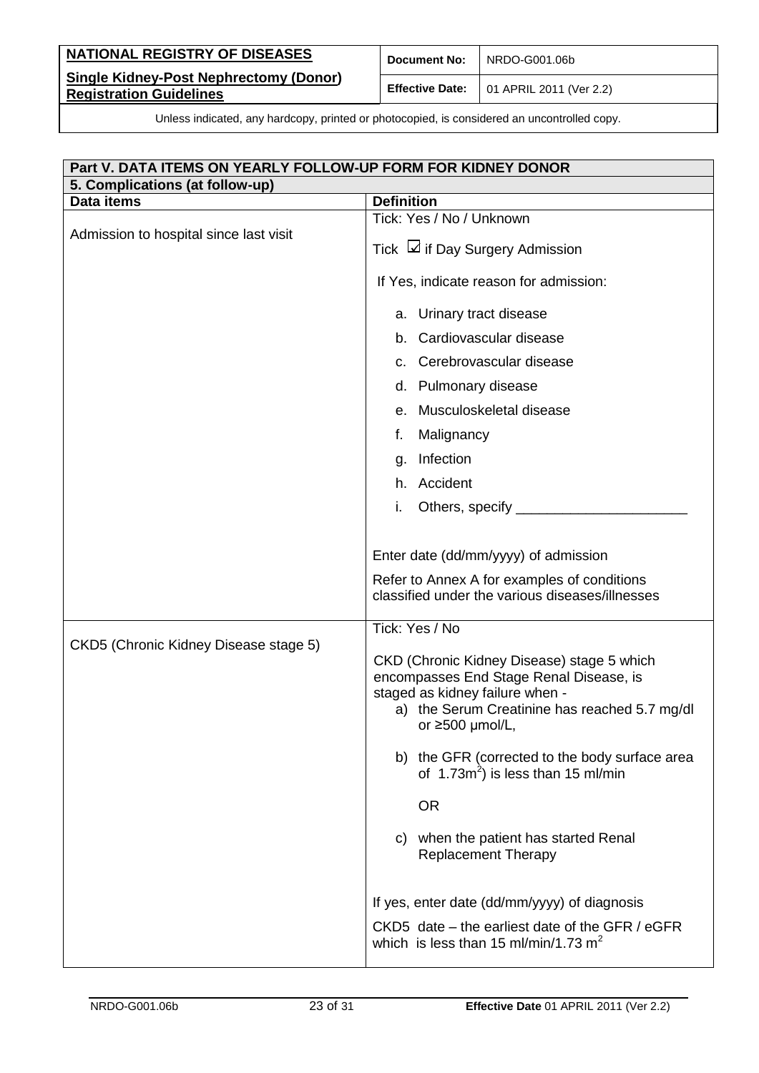| <b>NATIONAL REGISTRY OF DISEASES</b>                                            | <b>Document No:</b> | NRDO-G001.06b                                          |
|---------------------------------------------------------------------------------|---------------------|--------------------------------------------------------|
| <b>Single Kidney-Post Nephrectomy (Donor)</b><br><b>Registration Guidelines</b> |                     | <b>Effective Date:</b> $\vert$ 01 APRIL 2011 (Ver 2.2) |

| Part V. DATA ITEMS ON YEARLY FOLLOW-UP FORM FOR KIDNEY DONOR |                                                                                                                                                                                                    |  |  |
|--------------------------------------------------------------|----------------------------------------------------------------------------------------------------------------------------------------------------------------------------------------------------|--|--|
| 5. Complications (at follow-up)                              |                                                                                                                                                                                                    |  |  |
| Data items                                                   | <b>Definition</b>                                                                                                                                                                                  |  |  |
| Admission to hospital since last visit                       | Tick: Yes / No / Unknown                                                                                                                                                                           |  |  |
|                                                              | Tick ⊿ if Day Surgery Admission                                                                                                                                                                    |  |  |
|                                                              | If Yes, indicate reason for admission:                                                                                                                                                             |  |  |
|                                                              | a. Urinary tract disease                                                                                                                                                                           |  |  |
|                                                              | b. Cardiovascular disease                                                                                                                                                                          |  |  |
|                                                              | c. Cerebrovascular disease                                                                                                                                                                         |  |  |
|                                                              | d. Pulmonary disease                                                                                                                                                                               |  |  |
|                                                              | Musculoskeletal disease<br>е.                                                                                                                                                                      |  |  |
|                                                              | Malignancy<br>f.                                                                                                                                                                                   |  |  |
|                                                              | Infection<br>g.                                                                                                                                                                                    |  |  |
|                                                              | h. Accident                                                                                                                                                                                        |  |  |
|                                                              | Others, specify _____________<br>i.                                                                                                                                                                |  |  |
|                                                              | Enter date (dd/mm/yyyy) of admission<br>Refer to Annex A for examples of conditions<br>classified under the various diseases/illnesses                                                             |  |  |
|                                                              | Tick: Yes / No                                                                                                                                                                                     |  |  |
| CKD5 (Chronic Kidney Disease stage 5)                        | CKD (Chronic Kidney Disease) stage 5 which<br>encompasses End Stage Renal Disease, is<br>staged as kidney failure when -<br>a) the Serum Creatinine has reached 5.7 mg/dl<br>or $\geq 500$ µmol/L, |  |  |
|                                                              | b) the GFR (corrected to the body surface area<br>of $1.73m^2$ ) is less than 15 ml/min                                                                                                            |  |  |
|                                                              | <b>OR</b>                                                                                                                                                                                          |  |  |
|                                                              | c) when the patient has started Renal<br><b>Replacement Therapy</b>                                                                                                                                |  |  |
|                                                              | If yes, enter date (dd/mm/yyyy) of diagnosis<br>CKD5 date – the earliest date of the GFR / eGFR<br>which is less than 15 ml/min/1.73 $m2$                                                          |  |  |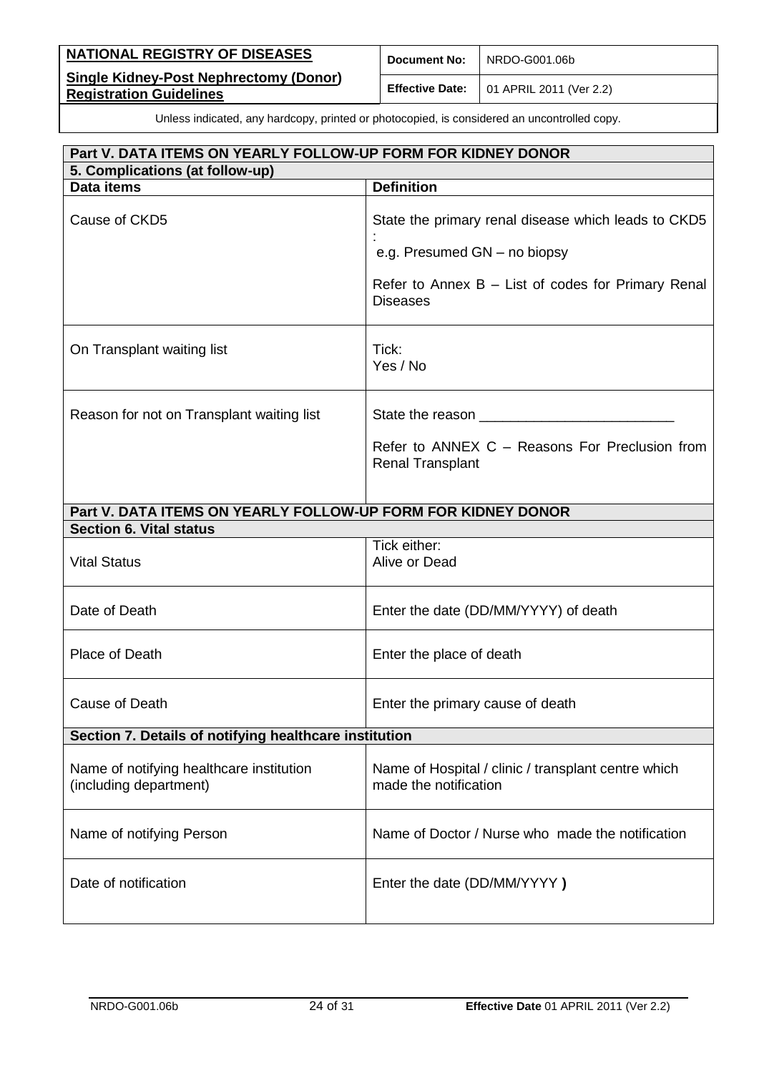| <b>NATIONAL REGISTRY OF DISEASES</b>                                            | <b>Document No:</b> | NRDO-G001.06b                                    |
|---------------------------------------------------------------------------------|---------------------|--------------------------------------------------|
| <b>Single Kidney-Post Nephrectomy (Donor)</b><br><b>Registration Guidelines</b> |                     | <b>Effective Date:</b>   01 APRIL 2011 (Ver 2.2) |

| Part V. DATA ITEMS ON YEARLY FOLLOW-UP FORM FOR KIDNEY DONOR       |                                                                              |  |  |
|--------------------------------------------------------------------|------------------------------------------------------------------------------|--|--|
| 5. Complications (at follow-up)                                    |                                                                              |  |  |
| Data items                                                         | <b>Definition</b>                                                            |  |  |
| Cause of CKD5                                                      | State the primary renal disease which leads to CKD5                          |  |  |
|                                                                    | e.g. Presumed GN - no biopsy                                                 |  |  |
|                                                                    | Refer to Annex $B - List$ of codes for Primary Renal<br><b>Diseases</b>      |  |  |
| On Transplant waiting list                                         | Tick:<br>Yes / No                                                            |  |  |
| Reason for not on Transplant waiting list                          |                                                                              |  |  |
|                                                                    | Refer to ANNEX C - Reasons For Preclusion from<br><b>Renal Transplant</b>    |  |  |
| Part V. DATA ITEMS ON YEARLY FOLLOW-UP FORM FOR KIDNEY DONOR       |                                                                              |  |  |
| <b>Section 6. Vital status</b>                                     |                                                                              |  |  |
| <b>Vital Status</b>                                                | Tick either:<br>Alive or Dead                                                |  |  |
| Date of Death                                                      | Enter the date (DD/MM/YYYY) of death                                         |  |  |
| Place of Death                                                     | Enter the place of death                                                     |  |  |
| Cause of Death                                                     | Enter the primary cause of death                                             |  |  |
| Section 7. Details of notifying healthcare institution             |                                                                              |  |  |
| Name of notifying healthcare institution<br>(including department) | Name of Hospital / clinic / transplant centre which<br>made the notification |  |  |
| Name of notifying Person                                           | Name of Doctor / Nurse who made the notification                             |  |  |
| Date of notification                                               | Enter the date (DD/MM/YYYY)                                                  |  |  |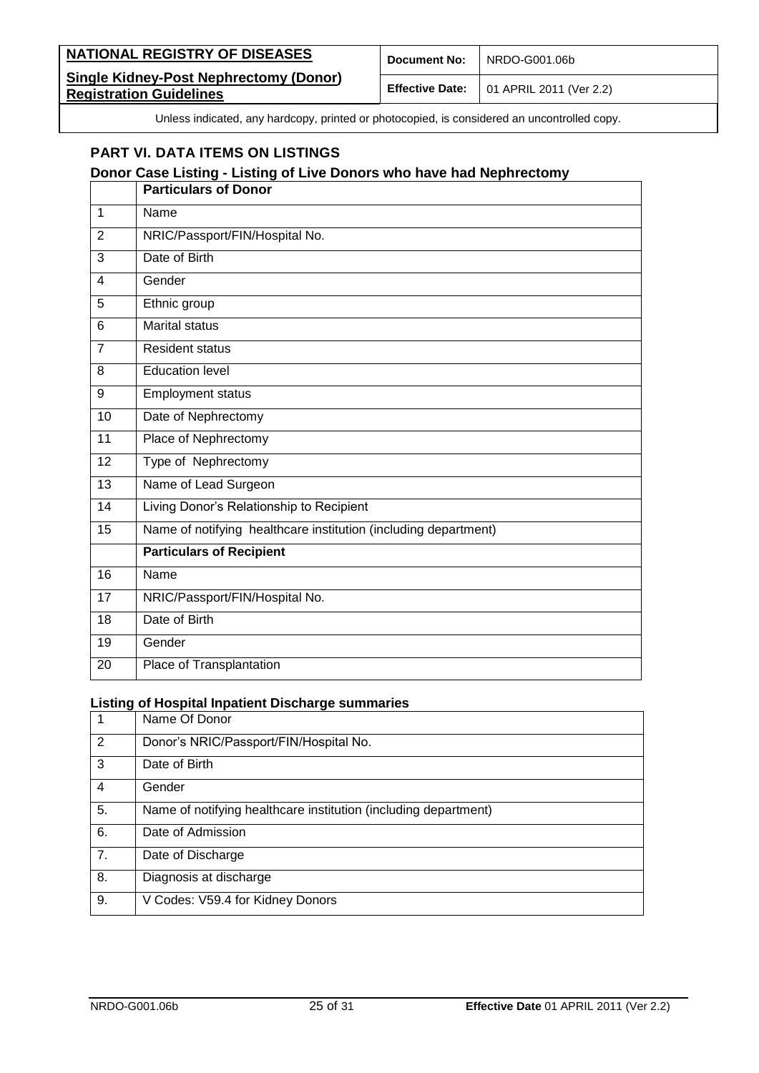| NATIONAL REGISTRY OF DISEASES                                                   | <b>Document No:</b> | NRDO-G001.06b                                          |
|---------------------------------------------------------------------------------|---------------------|--------------------------------------------------------|
| <b>Single Kidney-Post Nephrectomy (Donor)</b><br><b>Registration Guidelines</b> |                     | <b>Effective Date:</b> $\vert$ 01 APRIL 2011 (Ver 2.2) |

# <span id="page-24-0"></span>**PART VI. DATA ITEMS ON LISTINGS**

### **Donor Case Listing - Listing of Live Donors who have had Nephrectomy**

|                         | <b>Particulars of Donor</b>                                     |
|-------------------------|-----------------------------------------------------------------|
| 1                       | Name                                                            |
| 2                       | NRIC/Passport/FIN/Hospital No.                                  |
| 3                       | Date of Birth                                                   |
| $\overline{\mathbf{4}}$ | Gender                                                          |
| 5                       | Ethnic group                                                    |
| 6                       | <b>Marital status</b>                                           |
| $\overline{7}$          | <b>Resident status</b>                                          |
| 8                       | <b>Education level</b>                                          |
| 9                       | <b>Employment status</b>                                        |
| 10                      | Date of Nephrectomy                                             |
| 11                      | Place of Nephrectomy                                            |
| 12                      | Type of Nephrectomy                                             |
| 13                      | Name of Lead Surgeon                                            |
| 14                      | Living Donor's Relationship to Recipient                        |
| 15                      | Name of notifying healthcare institution (including department) |
|                         | <b>Particulars of Recipient</b>                                 |
| 16                      | Name                                                            |
| 17                      | NRIC/Passport/FIN/Hospital No.                                  |
| 18                      | Date of Birth                                                   |
| 19                      | Gender                                                          |
| 20                      | Place of Transplantation                                        |

#### **Listing of Hospital Inpatient Discharge summaries**

| 1              | Name Of Donor                                                   |
|----------------|-----------------------------------------------------------------|
| $\overline{2}$ | Donor's NRIC/Passport/FIN/Hospital No.                          |
| 3              | Date of Birth                                                   |
| 4              | Gender                                                          |
| 5.             | Name of notifying healthcare institution (including department) |
| 6.             | Date of Admission                                               |
| 7.             | Date of Discharge                                               |
| 8.             | Diagnosis at discharge                                          |
| 9.             | V Codes: V59.4 for Kidney Donors                                |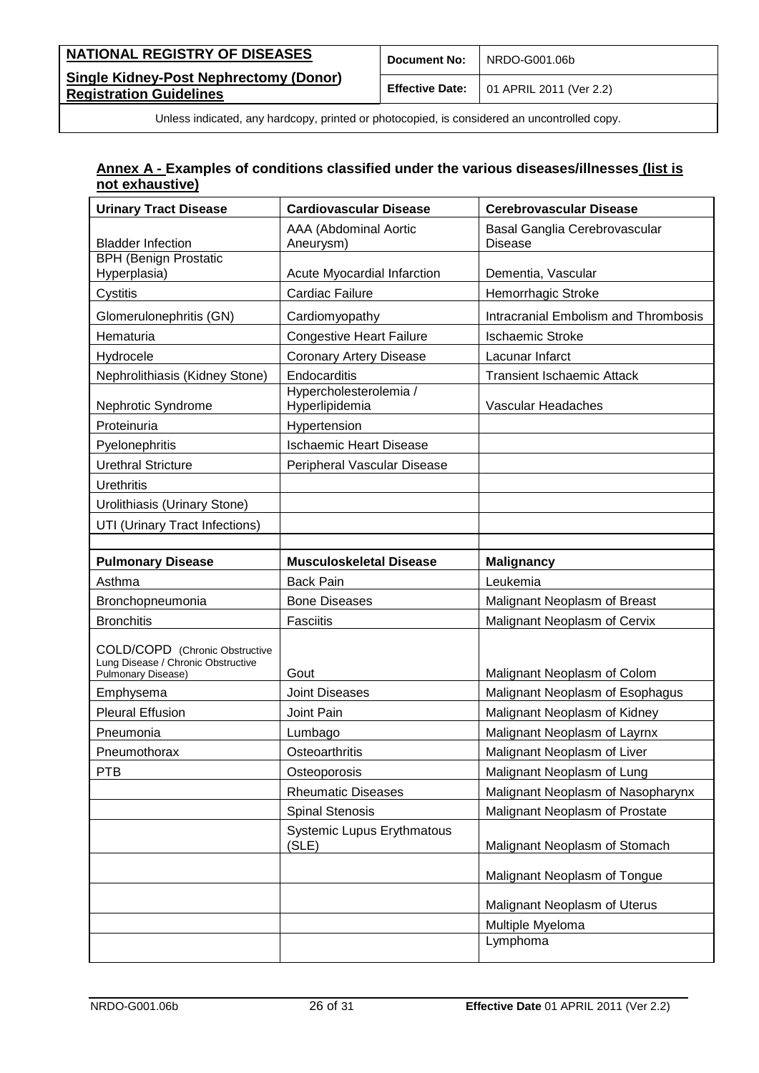| <b>NATIONAL REGISTRY OF DISEASES</b>                                            | <b>Document No:</b> | NRDO-G001.06b                                          |
|---------------------------------------------------------------------------------|---------------------|--------------------------------------------------------|
| <b>Single Kidney-Post Nephrectomy (Donor)</b><br><b>Registration Guidelines</b> |                     | <b>Effective Date:</b> $\vert$ 01 APRIL 2011 (Ver 2.2) |

### <span id="page-25-0"></span>**Annex A - Examples of conditions classified under the various diseases/illnesses (list is not exhaustive)**

| <b>Urinary Tract Disease</b>                                                               | <b>Cardiovascular Disease</b>              | <b>Cerebrovascular Disease</b>                  |
|--------------------------------------------------------------------------------------------|--------------------------------------------|-------------------------------------------------|
| <b>Bladder Infection</b>                                                                   | AAA (Abdominal Aortic<br>Aneurysm)         | Basal Ganglia Cerebrovascular<br><b>Disease</b> |
| <b>BPH (Benign Prostatic</b><br>Hyperplasia)                                               | Acute Myocardial Infarction                | Dementia, Vascular                              |
| Cystitis                                                                                   | Cardiac Failure                            | Hemorrhagic Stroke                              |
| Glomerulonephritis (GN)                                                                    | Cardiomyopathy                             | <b>Intracranial Embolism and Thrombosis</b>     |
| Hematuria                                                                                  | <b>Congestive Heart Failure</b>            | <b>Ischaemic Stroke</b>                         |
| Hydrocele                                                                                  | <b>Coronary Artery Disease</b>             | Lacunar Infarct                                 |
| Nephrolithiasis (Kidney Stone)                                                             | Endocarditis                               | <b>Transient Ischaemic Attack</b>               |
| Nephrotic Syndrome                                                                         | Hypercholesterolemia /<br>Hyperlipidemia   | Vascular Headaches                              |
| Proteinuria                                                                                | Hypertension                               |                                                 |
| Pyelonephritis                                                                             | <b>Ischaemic Heart Disease</b>             |                                                 |
| <b>Urethral Stricture</b>                                                                  | Peripheral Vascular Disease                |                                                 |
| <b>Urethritis</b>                                                                          |                                            |                                                 |
| Urolithiasis (Urinary Stone)                                                               |                                            |                                                 |
| UTI (Urinary Tract Infections)                                                             |                                            |                                                 |
|                                                                                            |                                            |                                                 |
| <b>Pulmonary Disease</b>                                                                   | <b>Musculoskeletal Disease</b>             | <b>Malignancy</b>                               |
| Asthma                                                                                     | <b>Back Pain</b>                           | Leukemia                                        |
|                                                                                            |                                            |                                                 |
| Bronchopneumonia                                                                           | <b>Bone Diseases</b>                       | Malignant Neoplasm of Breast                    |
| <b>Bronchitis</b>                                                                          | <b>Fasciitis</b>                           | Malignant Neoplasm of Cervix                    |
| COLD/COPD (Chronic Obstructive<br>Lung Disease / Chronic Obstructive<br>Pulmonary Disease) | Gout                                       | Malignant Neoplasm of Colom                     |
| Emphysema                                                                                  | <b>Joint Diseases</b>                      | Malignant Neoplasm of Esophagus                 |
| <b>Pleural Effusion</b>                                                                    | Joint Pain                                 | Malignant Neoplasm of Kidney                    |
| Pneumonia                                                                                  | Lumbago                                    | Malignant Neoplasm of Layrnx                    |
| Pneumothorax                                                                               | Osteoarthritis                             | Malignant Neoplasm of Liver                     |
| PTB                                                                                        | Osteoporosis                               | Malignant Neoplasm of Lung                      |
|                                                                                            | <b>Rheumatic Diseases</b>                  | Malignant Neoplasm of Nasopharynx               |
|                                                                                            | <b>Spinal Stenosis</b>                     | Malignant Neoplasm of Prostate                  |
|                                                                                            | <b>Systemic Lupus Erythmatous</b><br>(SLE) | Malignant Neoplasm of Stomach                   |
|                                                                                            |                                            | Malignant Neoplasm of Tongue                    |
|                                                                                            |                                            | Malignant Neoplasm of Uterus                    |
|                                                                                            |                                            | Multiple Myeloma                                |
|                                                                                            |                                            | Lymphoma                                        |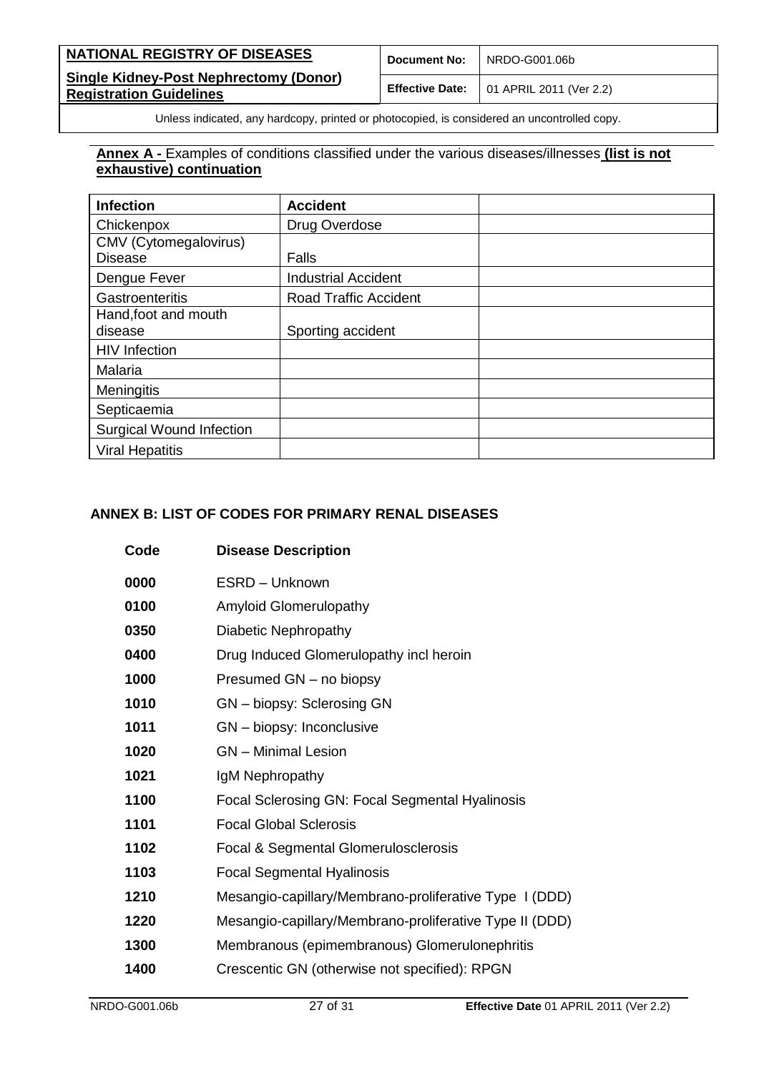| NATIONAL REGISTRY OF DISEASES                                                   | Document No: | NRDO-G001.06b                                          |
|---------------------------------------------------------------------------------|--------------|--------------------------------------------------------|
| <b>Single Kidney-Post Nephrectomy (Donor)</b><br><b>Registration Guidelines</b> |              | <b>Effective Date:</b> $\vert$ 01 APRIL 2011 (Ver 2.2) |

### **Annex A -** Examples of conditions classified under the various diseases/illnesses **(list is not exhaustive) continuation**

| <b>Infection</b>                | <b>Accident</b>              |
|---------------------------------|------------------------------|
| Chickenpox                      | Drug Overdose                |
| CMV (Cytomegalovirus)           |                              |
| <b>Disease</b>                  | Falls                        |
| Dengue Fever                    | <b>Industrial Accident</b>   |
| Gastroenteritis                 | <b>Road Traffic Accident</b> |
| Hand, foot and mouth            |                              |
| disease                         | Sporting accident            |
| <b>HIV</b> Infection            |                              |
| Malaria                         |                              |
| Meningitis                      |                              |
| Septicaemia                     |                              |
| <b>Surgical Wound Infection</b> |                              |
| <b>Viral Hepatitis</b>          |                              |

### <span id="page-26-0"></span>**ANNEX B: LIST OF CODES FOR PRIMARY RENAL DISEASES**

| Code | <b>Disease Description</b>                              |
|------|---------------------------------------------------------|
| 0000 | ESRD - Unknown                                          |
| 0100 | <b>Amyloid Glomerulopathy</b>                           |
| 0350 | Diabetic Nephropathy                                    |
| 0400 | Drug Induced Glomerulopathy incl heroin                 |
| 1000 | Presumed GN - no biopsy                                 |
| 1010 | GN - biopsy: Sclerosing GN                              |
| 1011 | GN - biopsy: Inconclusive                               |
| 1020 | <b>GN</b> - Minimal Lesion                              |
| 1021 | IgM Nephropathy                                         |
| 1100 | Focal Sclerosing GN: Focal Segmental Hyalinosis         |
| 1101 | <b>Focal Global Sclerosis</b>                           |
| 1102 | Focal & Segmental Glomerulosclerosis                    |
| 1103 | <b>Focal Segmental Hyalinosis</b>                       |
| 1210 | Mesangio-capillary/Membrano-proliferative Type I (DDD)  |
| 1220 | Mesangio-capillary/Membrano-proliferative Type II (DDD) |
| 1300 | Membranous (epimembranous) Glomerulonephritis           |
| 1400 | Crescentic GN (otherwise not specified): RPGN           |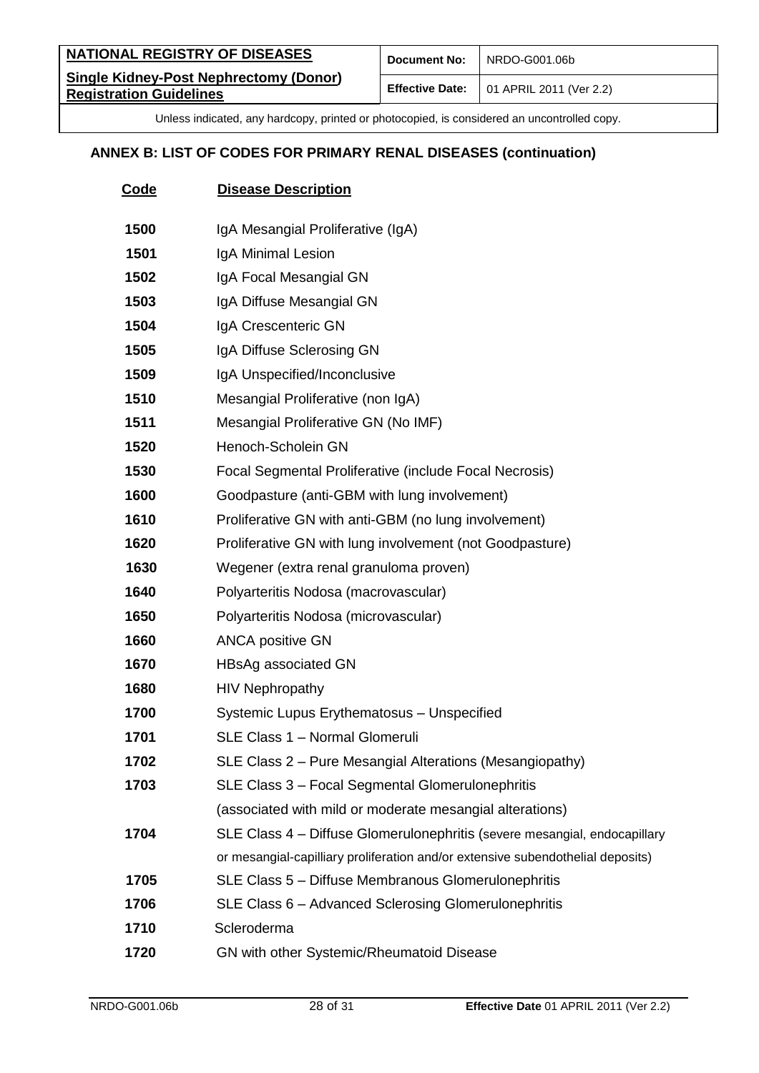| <b>NATIONAL REGISTRY OF DISEASES</b>                                            | <b>Document No:</b> | NRDO-G001.06b                                          |
|---------------------------------------------------------------------------------|---------------------|--------------------------------------------------------|
| <b>Single Kidney-Post Nephrectomy (Donor)</b><br><b>Registration Guidelines</b> |                     | <b>Effective Date:</b> $\vert$ 01 APRIL 2011 (Ver 2.2) |

# **ANNEX B: LIST OF CODES FOR PRIMARY RENAL DISEASES (continuation)**

| <b>Code</b> | <b>Disease Description</b>                                                      |
|-------------|---------------------------------------------------------------------------------|
| 1500        | IgA Mesangial Proliferative (IgA)                                               |
| 1501        | IgA Minimal Lesion                                                              |
| 1502        | IgA Focal Mesangial GN                                                          |
| 1503        | IgA Diffuse Mesangial GN                                                        |
| 1504        | IgA Crescenteric GN                                                             |
| 1505        | IgA Diffuse Sclerosing GN                                                       |
| 1509        | IgA Unspecified/Inconclusive                                                    |
| 1510        | Mesangial Proliferative (non IgA)                                               |
| 1511        | Mesangial Proliferative GN (No IMF)                                             |
| 1520        | Henoch-Scholein GN                                                              |
| 1530        | Focal Segmental Proliferative (include Focal Necrosis)                          |
| 1600        | Goodpasture (anti-GBM with lung involvement)                                    |
| 1610        | Proliferative GN with anti-GBM (no lung involvement)                            |
| 1620        | Proliferative GN with lung involvement (not Goodpasture)                        |
| 1630        | Wegener (extra renal granuloma proven)                                          |
| 1640        | Polyarteritis Nodosa (macrovascular)                                            |
| 1650        | Polyarteritis Nodosa (microvascular)                                            |
| 1660        | <b>ANCA positive GN</b>                                                         |
| 1670        | HBsAg associated GN                                                             |
| 1680        | <b>HIV Nephropathy</b>                                                          |
| 1700        | Systemic Lupus Erythematosus - Unspecified                                      |
| 1701        | SLE Class 1 - Normal Glomeruli                                                  |
| 1702        | SLE Class 2 – Pure Mesangial Alterations (Mesangiopathy)                        |
| 1703        | SLE Class 3 - Focal Segmental Glomerulonephritis                                |
|             | (associated with mild or moderate mesangial alterations)                        |
| 1704        | SLE Class 4 - Diffuse Glomerulonephritis (severe mesangial, endocapillary       |
|             | or mesangial-capilliary proliferation and/or extensive subendothelial deposits) |
| 1705        | SLE Class 5 - Diffuse Membranous Glomerulonephritis                             |
| 1706        | SLE Class 6 - Advanced Sclerosing Glomerulonephritis                            |
| 1710        | Scleroderma                                                                     |
| 1720        | GN with other Systemic/Rheumatoid Disease                                       |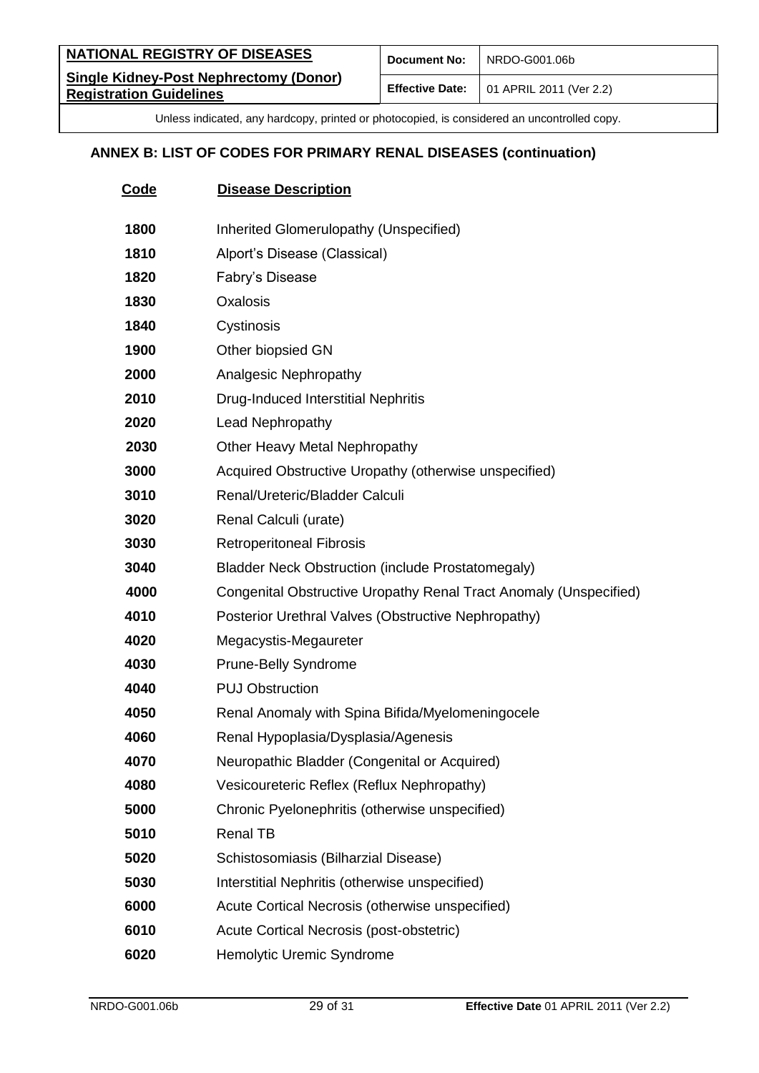| <b>NATIONAL REGISTRY OF DISEASES</b>                                            | <b>Document No:</b> | NRDO-G001.06b                                          |
|---------------------------------------------------------------------------------|---------------------|--------------------------------------------------------|
| <b>Single Kidney-Post Nephrectomy (Donor)</b><br><b>Registration Guidelines</b> |                     | <b>Effective Date:</b> $\vert$ 01 APRIL 2011 (Ver 2.2) |

# **ANNEX B: LIST OF CODES FOR PRIMARY RENAL DISEASES (continuation)**

| Code | <b>Disease Description</b>                                        |
|------|-------------------------------------------------------------------|
| 1800 | Inherited Glomerulopathy (Unspecified)                            |
| 1810 | Alport's Disease (Classical)                                      |
| 1820 | Fabry's Disease                                                   |
| 1830 | Oxalosis                                                          |
| 1840 | Cystinosis                                                        |
| 1900 | Other biopsied GN                                                 |
| 2000 | Analgesic Nephropathy                                             |
| 2010 | Drug-Induced Interstitial Nephritis                               |
| 2020 | Lead Nephropathy                                                  |
| 2030 | Other Heavy Metal Nephropathy                                     |
| 3000 | Acquired Obstructive Uropathy (otherwise unspecified)             |
| 3010 | Renal/Ureteric/Bladder Calculi                                    |
| 3020 | Renal Calculi (urate)                                             |
| 3030 | <b>Retroperitoneal Fibrosis</b>                                   |
| 3040 | <b>Bladder Neck Obstruction (include Prostatomegaly)</b>          |
| 4000 | Congenital Obstructive Uropathy Renal Tract Anomaly (Unspecified) |
| 4010 | Posterior Urethral Valves (Obstructive Nephropathy)               |
| 4020 | Megacystis-Megaureter                                             |
| 4030 | <b>Prune-Belly Syndrome</b>                                       |
| 4040 | <b>PUJ Obstruction</b>                                            |
| 4050 | Renal Anomaly with Spina Bifida/Myelomeningocele                  |
| 4060 | Renal Hypoplasia/Dysplasia/Agenesis                               |
| 4070 | Neuropathic Bladder (Congenital or Acquired)                      |
| 4080 | Vesicoureteric Reflex (Reflux Nephropathy)                        |
| 5000 | Chronic Pyelonephritis (otherwise unspecified)                    |
| 5010 | <b>Renal TB</b>                                                   |
| 5020 | Schistosomiasis (Bilharzial Disease)                              |
| 5030 | Interstitial Nephritis (otherwise unspecified)                    |
| 6000 | Acute Cortical Necrosis (otherwise unspecified)                   |
| 6010 | Acute Cortical Necrosis (post-obstetric)                          |
| 6020 | Hemolytic Uremic Syndrome                                         |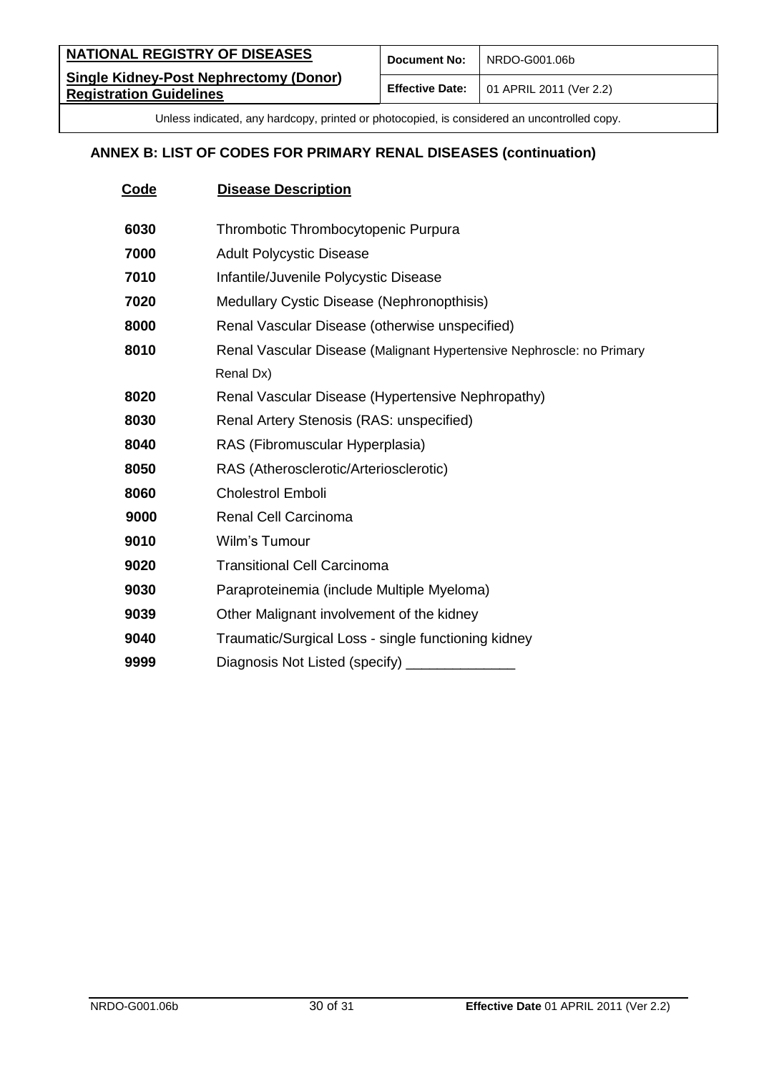| <b>NATIONAL REGISTRY OF DISEASES</b>                                            | <b>Document No:</b> | NRDO-G001.06b                                          |
|---------------------------------------------------------------------------------|---------------------|--------------------------------------------------------|
| <b>Single Kidney-Post Nephrectomy (Donor)</b><br><b>Registration Guidelines</b> |                     | <b>Effective Date:</b> $\vert$ 01 APRIL 2011 (Ver 2.2) |

# **ANNEX B: LIST OF CODES FOR PRIMARY RENAL DISEASES (continuation)**

| Code | <b>Disease Description</b>                                            |
|------|-----------------------------------------------------------------------|
| 6030 | Thrombotic Thrombocytopenic Purpura                                   |
|      |                                                                       |
| 7000 | <b>Adult Polycystic Disease</b>                                       |
| 7010 | Infantile/Juvenile Polycystic Disease                                 |
| 7020 | Medullary Cystic Disease (Nephronopthisis)                            |
| 8000 | Renal Vascular Disease (otherwise unspecified)                        |
| 8010 | Renal Vascular Disease (Malignant Hypertensive Nephroscle: no Primary |
|      | Renal Dx)                                                             |
| 8020 | Renal Vascular Disease (Hypertensive Nephropathy)                     |
| 8030 | Renal Artery Stenosis (RAS: unspecified)                              |
| 8040 | RAS (Fibromuscular Hyperplasia)                                       |
| 8050 | RAS (Atherosclerotic/Arteriosclerotic)                                |
| 8060 | <b>Cholestrol Emboli</b>                                              |
| 9000 | <b>Renal Cell Carcinoma</b>                                           |
| 9010 | Wilm's Tumour                                                         |
| 9020 | <b>Transitional Cell Carcinoma</b>                                    |
| 9030 | Paraproteinemia (include Multiple Myeloma)                            |
| 9039 | Other Malignant involvement of the kidney                             |
| 9040 | Traumatic/Surgical Loss - single functioning kidney                   |
| 9999 | Diagnosis Not Listed (specify)                                        |